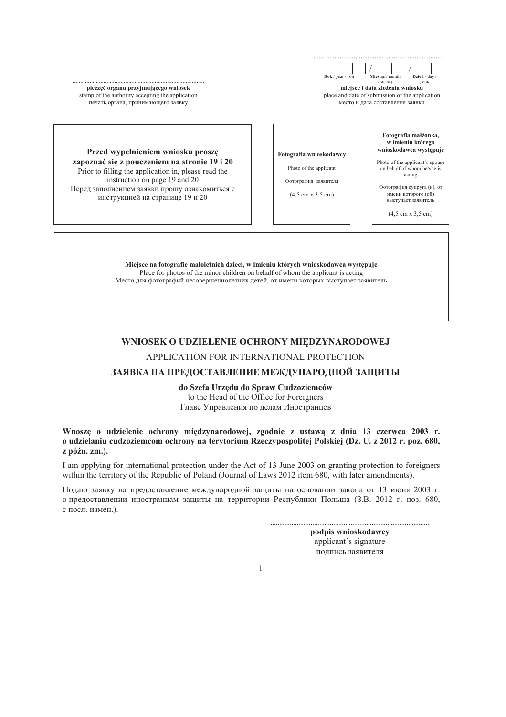pieczęć organu przyjmującego wniosek stamp of the authority accepting the application печать органа, принимающего заявку

месяц день miejsce i data złożenia wniosku place and date of submission of the application

место и дата составления заявки

Przed wypełnieniem wniosku proszę zapoznać się z pouczeniem na stronie 19 i 20 Prior to filling the application in, please read the instruction on page 19 and 20 Перед заполнением заявки прошу ознакомиться с инструкцией на странице 19 и 20

Fotografia wnioskodawcy

Photo of the applicant

Фотография заявителя

 $(4.5 \text{ cm} \times 3.5 \text{ cm})$ 

Fotografia małżonka. w imieniu którego wnioskodawca występuje

Photo of the applicant's spouse on behalf of whom he/she is acting

 $\Phi$ orornadus cynnyra (u) or имени которого (ой) выступает заявитель

 $(4.5 \text{ cm} \times 3.5 \text{ cm})$ 

Miejsce na fotografie małoletnich dzieci, w imieniu których wnioskodawca występuje Place for photos of the minor children on behalf of whom the applicant is acting Место для фотографий несовершеннолетних детей, от имени которых выступает заявитель

### WNIOSEK O UDZIELENIE OCHRONY MIEDZYNARODOWEJ

### APPLICATION FOR INTERNATIONAL PROTECTION

## ЗАЯВКА НА ПРЕЛОСТАВЛЕНИЕ МЕЖДУНАРОДНОЙ ЗАШИТЫ

do Szefa Urzedu do Spraw Cudzoziemców to the Head of the Office for Foreigners Главе Управления по делам Иностранцев

Wnoszę o udzielenie ochrony międzynarodowej, zgodnie z ustawą z dnia 13 czerwca 2003 r. o udzielaniu cudzoziemcom ochrony na terytorium Rzeczypospolitej Polskiej (Dz. U. z 2012 r. poz. 680, z późn. zm.).

I am applying for international protection under the Act of 13 June 2003 on granting protection to foreigners within the territory of the Republic of Poland (Journal of Laws 2012 item 680, with later amendments).

Подаю заявку на предоставление международной защиты на основании закона от 13 июня 2003 г. о предоставлении иностранцам защиты на территории Республики Польша (З.В. 2012 г. поз. 680, с посл. измен.).

> podpis wnioskodawcy applicant's signature подпись заявителя

 $\mathbf{1}$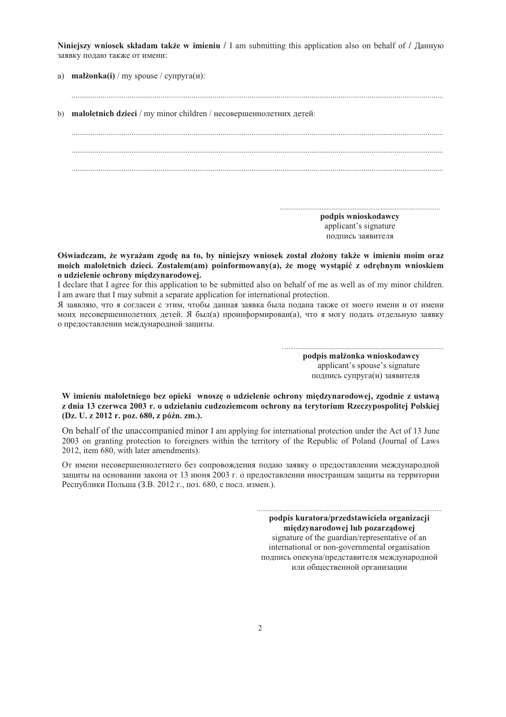Niniejszy wniosek składam także w imieniu / I am submitting this application also on behalf of / Данную заявку подаю также от имени:

a) małżonka $(i)$  / my spouse /  $c$ упруга $(n)$ :

b) maloletnich dzieci / my minor children / несовершеннолетних детей: podpis wnioskodawcy applicant's signature подпись заявителя

Oświadczam, że wyrażam zgode na to, by niniejszy wniosek został złożony także w imieniu moim oraz moich małoletnich dzieci. Zostałem(am) poinformowany(a), że mogę wystąpić z odrębnym wnioskiem o udzielenie ochrony międzynarodowej.

I declare that I agree for this application to be submitted also on behalf of me as well as of my minor children. I am aware that I may submit a separate application for international protection.

Я заявляю, что я согласен с этим, чтобы данная заявка была подана также от моего имени и от имени моих несовершеннолетних детей. Я был(а) проинформирован(а), что я могу подать отдельную заявку о предоставлении международной защиты.

> podpis małżonka wnioskodawcy applicant's spouse's signature подпись супруга(и) заявителя

W imieniu małoletniego bez opieki wnoszę o udzielenie ochrony międzynarodowej, zgodnie z ustawą z dnia 13 czerwca 2003 r. o udzielaniu cudzoziemcom ochrony na terytorium Rzeczypospolitei Polskiej (Dz. U. z 2012 r. poz. 680, z późn. zm.).

On behalf of the unaccompanied minor I am applying for international protection under the Act of 13 June 2003 on granting protection to foreigners within the territory of the Republic of Poland (Journal of Laws 2012, item 680, with later amendments).

От имени несовершеннолетнего без сопровождения подаю заявку о предоставлении международной защиты на основании закона от 13 июня 2003 г. о предоставлении иностранцам защиты на территории Республики Польша (З.В. 2012 г., поз. 680, с посл. измен.).

> podpis kuratora/przedstawiciela organizacji miedzynarodowej lub pozarzadowej signature of the guardian/representative of an international or non-governmental organisation подпись опекуна/представителя международной или общественной организации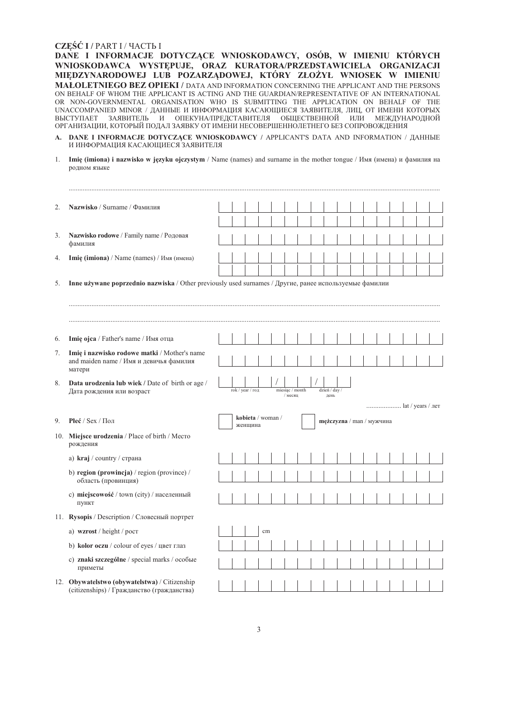### CZEŚĆ I / PART I / ЧАСТЬ I

DANE I INFORMACJE DOTYCZĄCE WNIOSKODAWCY, OSÓB, W IMIENIU KTÓRYCH WNIOSKODAWCA WYSTĘPUJE, ORAZ KURATORA/PRZEDSTAWICIELA ORGANIZACJI MIEDZYNARODOWEJ LUB POZARZĄDOWEJ, KTÓRY ZŁOŻYŁ WNIOSEK W IMIENIU MAŁOLETNIEGO BEZ OPIEKI / DATA AND INFORMATION CONCERNING THE APPLICANT AND THE PERSONS ON BEHALF OF WHOM THE APPLICANT IS ACTING AND THE GUARDIAN/REPRESENTATIVE OF AN INTERNATIONAL OR NON-GOVERNMENTAL ORGANISATION WHO IS SUBMITTING THE APPLICATION ON BEHALF OF THE UNACCOMPANIED MINOR / ДАННЫЕ И ИНФОРМАЦИЯ КАСАЮЩИЕСЯ ЗАЯВИТЕЛЯ, ЛИЦ, ОТ ИМЕНИ КОТОРЫХ ВЫСТУПАЕТ ЗАЯВИТЕЛЬ И ОПЕКУНА/ПРЕДСТАВИТЕЛЯ ОБЩЕСТВЕННОЙ ИЛИ МЕЖДУНАРОДНОЙ ОРГАНИЗАЦИИ, КОТОРЫЙ ПОДАЛ ЗАЯВКУ ОТ ИМЕНИ НЕСОВЕРШЕННОЛЕТНЕГО БЕЗ СОПРОВОЖДЕНИЯ

- A. DANE I INFORMACJE DOTYCZĄCE WNIOSKODAWCY / APPLICANTS DATA AND INFORMATION / ДАННЫЕ И ИНФОРМАЦИЯ КАСАЮЩИЕСЯ ЗАЯВИТЕЛЯ
- 1. **Imie (imiona) i nazwisko w języku ojczystym** / Name (names) and surname in the mother tongue / Имя (имена) и фамилия на родном языке

| Inne używane poprzednio nazwiska / Other previously used surnames / Другие, ранее используемые фамилии |
|--------------------------------------------------------------------------------------------------------|
|                                                                                                        |
|                                                                                                        |
|                                                                                                        |
|                                                                                                        |
|                                                                                                        |
|                                                                                                        |
|                                                                                                        |
|                                                                                                        |
| lat / years / лет                                                                                      |
| mężczyzna / man / мужчина                                                                              |
|                                                                                                        |
|                                                                                                        |
|                                                                                                        |
|                                                                                                        |
|                                                                                                        |
|                                                                                                        |
|                                                                                                        |
|                                                                                                        |
|                                                                                                        |
|                                                                                                        |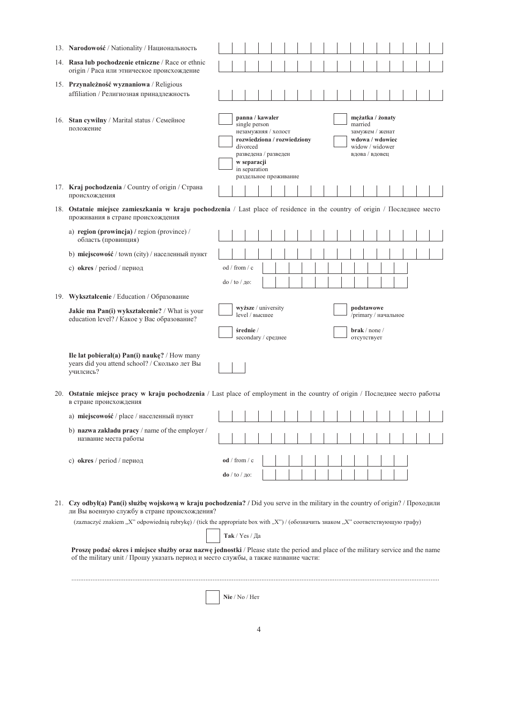| 13. Narodowość / Nationality / Национальность                                                                                                                                                                                                                                                                                                                                                                                                                                                                                                       |  |                                                                                                                                                                                     |  |  |  |  |                                                                                                        |  |  |  |  |
|-----------------------------------------------------------------------------------------------------------------------------------------------------------------------------------------------------------------------------------------------------------------------------------------------------------------------------------------------------------------------------------------------------------------------------------------------------------------------------------------------------------------------------------------------------|--|-------------------------------------------------------------------------------------------------------------------------------------------------------------------------------------|--|--|--|--|--------------------------------------------------------------------------------------------------------|--|--|--|--|
| 14. Rasa lub pochodzenie etniczne / Race or ethnic<br>origin / Раса или этническое происхождение                                                                                                                                                                                                                                                                                                                                                                                                                                                    |  |                                                                                                                                                                                     |  |  |  |  |                                                                                                        |  |  |  |  |
| 15. Przynależność wyznaniowa / Religious<br>affiliation / Религиозная принадлежность                                                                                                                                                                                                                                                                                                                                                                                                                                                                |  |                                                                                                                                                                                     |  |  |  |  |                                                                                                        |  |  |  |  |
| 16. Stan cywilny / Marital status / Семейное<br>положение                                                                                                                                                                                                                                                                                                                                                                                                                                                                                           |  | panna / kawaler<br>single person<br>незамужняя / холост<br>rozwiedziona / rozwiedziony<br>divorced<br>разведена / разведен<br>w separacji<br>in separation<br>раздельное проживание |  |  |  |  | mężatka / żonaty<br>married<br>замужем / женат<br>wdowa / wdowiec<br>widow / widower<br>вдова / вдовец |  |  |  |  |
| 17. Kraj pochodzenia / Country of origin / Страна<br>происхождения                                                                                                                                                                                                                                                                                                                                                                                                                                                                                  |  |                                                                                                                                                                                     |  |  |  |  |                                                                                                        |  |  |  |  |
| 18. Ostatnie miejsce zamieszkania w kraju pochodzenia / Last place of residence in the country of origin / Последнее место<br>проживания в стране происхождения                                                                                                                                                                                                                                                                                                                                                                                     |  |                                                                                                                                                                                     |  |  |  |  |                                                                                                        |  |  |  |  |
| a) region (prowincja) / region (province) /<br>область (провинция)                                                                                                                                                                                                                                                                                                                                                                                                                                                                                  |  |                                                                                                                                                                                     |  |  |  |  |                                                                                                        |  |  |  |  |
| b) miejscowość / town (city) / населенный пункт                                                                                                                                                                                                                                                                                                                                                                                                                                                                                                     |  |                                                                                                                                                                                     |  |  |  |  |                                                                                                        |  |  |  |  |
| c) okres / period / период                                                                                                                                                                                                                                                                                                                                                                                                                                                                                                                          |  | od / from / c                                                                                                                                                                       |  |  |  |  |                                                                                                        |  |  |  |  |
|                                                                                                                                                                                                                                                                                                                                                                                                                                                                                                                                                     |  | $do/to/$ до:                                                                                                                                                                        |  |  |  |  |                                                                                                        |  |  |  |  |
| 19. Wykształcenie / Education / Образование                                                                                                                                                                                                                                                                                                                                                                                                                                                                                                         |  |                                                                                                                                                                                     |  |  |  |  |                                                                                                        |  |  |  |  |
| Jakie ma Pan(i) wykształcenie? / What is your<br>education level? / Какое у Вас образование?                                                                                                                                                                                                                                                                                                                                                                                                                                                        |  | wyższe / university<br>level / высшее                                                                                                                                               |  |  |  |  | podstawowe<br>/primary / начальное                                                                     |  |  |  |  |
|                                                                                                                                                                                                                                                                                                                                                                                                                                                                                                                                                     |  | średnie /<br>secondary / среднее                                                                                                                                                    |  |  |  |  | $\text{brak}/\text{none}/$<br>отсутствует                                                              |  |  |  |  |
| Ile lat pobierał(a) Pan(i) naukę? / How many<br>years did you attend school? / Сколько лет Вы<br>училсись?                                                                                                                                                                                                                                                                                                                                                                                                                                          |  |                                                                                                                                                                                     |  |  |  |  |                                                                                                        |  |  |  |  |
| 20. Ostatnie miejsce pracy w kraju pochodzenia / Last place of employment in the country of origin / Последнее место работы<br>в стране происхождения                                                                                                                                                                                                                                                                                                                                                                                               |  |                                                                                                                                                                                     |  |  |  |  |                                                                                                        |  |  |  |  |
| а) miejscowość / place / населенный пункт                                                                                                                                                                                                                                                                                                                                                                                                                                                                                                           |  |                                                                                                                                                                                     |  |  |  |  |                                                                                                        |  |  |  |  |
| b) nazwa zakładu pracy / name of the employer /<br>название места работы                                                                                                                                                                                                                                                                                                                                                                                                                                                                            |  |                                                                                                                                                                                     |  |  |  |  |                                                                                                        |  |  |  |  |
| с) okres / period / период                                                                                                                                                                                                                                                                                                                                                                                                                                                                                                                          |  | od / from / c                                                                                                                                                                       |  |  |  |  |                                                                                                        |  |  |  |  |
|                                                                                                                                                                                                                                                                                                                                                                                                                                                                                                                                                     |  | $\frac{d\theta}{d\theta}$ to $/$ 10:                                                                                                                                                |  |  |  |  |                                                                                                        |  |  |  |  |
| 21. Czy odbył(a) Pan(i) służbę wojskową w kraju pochodzenia? / Did you serve in the military in the country of origin? / Проходили<br>ли Вы военную службу в стране происхождения?<br>(zaznaczyć znakiem "X" odpowiednią rubrykę) / (tick the appropriate box with "X") / (обозначить знаком "X" соответствующую графу)<br>Proszę podać okres i miejsce służby oraz nazwę jednostki / Please state the period and place of the military service and the name<br>of the military unit / Прошу указать период и место службы, а также название части: |  | Так / Yes / Да                                                                                                                                                                      |  |  |  |  |                                                                                                        |  |  |  |  |
|                                                                                                                                                                                                                                                                                                                                                                                                                                                                                                                                                     |  | Nie / No / Her                                                                                                                                                                      |  |  |  |  |                                                                                                        |  |  |  |  |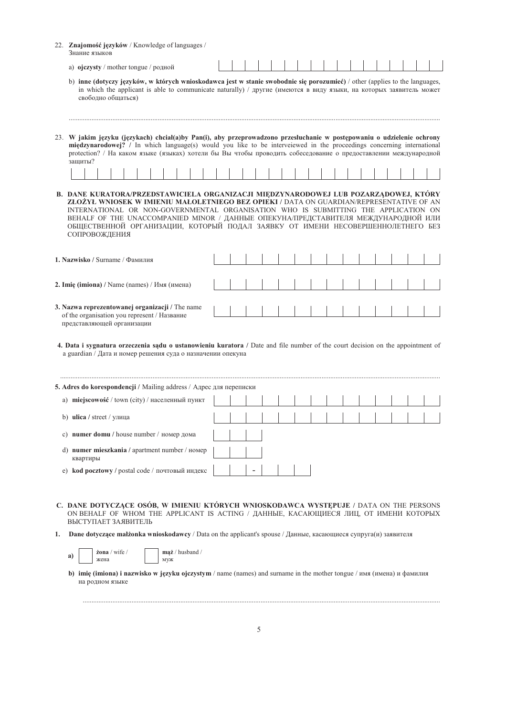| 22. Znajomość języków / Knowledge of languages /<br>Знание языков                                                                                                                                                                                                                                                                                                                                                                                                 |  |  |  |  |  |  |  |  |
|-------------------------------------------------------------------------------------------------------------------------------------------------------------------------------------------------------------------------------------------------------------------------------------------------------------------------------------------------------------------------------------------------------------------------------------------------------------------|--|--|--|--|--|--|--|--|
| a) ojczysty / mother tongue / родной                                                                                                                                                                                                                                                                                                                                                                                                                              |  |  |  |  |  |  |  |  |
| b) inne (dotyczy języków, w których wnioskodawca jest w stanie swobodnie się porozumieć) / other (applies to the languages,<br>in which the applicant is able to communicate naturally) / другие (имеются в виду языки, на которых заявитель может<br>свободно общаться)                                                                                                                                                                                          |  |  |  |  |  |  |  |  |
| 23. W jakim języku (językach) chciał(a)by Pan(i), aby przeprowadzono przesłuchanie w postępowaniu o udzielenie ochrony<br>międzynarodowej? / In which language(s) would you like to be interveiewed in the proceedings concerning international<br>protection? / На каком языке (языках) хотели бы Вы чтобы проводить собеседование о предоставлении международной<br>зашиты?                                                                                     |  |  |  |  |  |  |  |  |
|                                                                                                                                                                                                                                                                                                                                                                                                                                                                   |  |  |  |  |  |  |  |  |
| B. DANE KURATORA/PRZEDSTAWICIELA ORGANIZACJI MIEDZYNARODOWEJ LUB POZARZĄDOWEJ, KTÓRY<br>ZŁOŻYŁ WNIOSEK W IMIENIU MAŁOLETNIEGO BEZ OPIEKI / DATA ON GUARDIAN/REPRESENTATIVE OF AN<br>INTERNATIONAL OR NON-GOVERNMENTAL ORGANISATION WHO IS SUBMITTING THE APPLICATION ON<br>ВЕНАLF ОF THE UNACCOMPANIED MINOR / ДАННЫЕ ОПЕКУНА/ПРЕДСТАВИТЕЛЯ МЕЖДУНАРОДНОЙ ИЛИ<br>ОБЩЕСТВЕННОЙ ОРГАНИЗАЦИИ, КОТОРЫЙ ПОДАЛ ЗАЯВКУ ОТ ИМЕНИ НЕСОВЕРШЕННОЛЕТНЕГО БЕЗ<br>СОПРОВОЖДЕНИЯ |  |  |  |  |  |  |  |  |
| 1. Nazwisko / Surname / Фамилия                                                                                                                                                                                                                                                                                                                                                                                                                                   |  |  |  |  |  |  |  |  |
| 2. Imię (imiona) / Name (names) / Имя (имена)                                                                                                                                                                                                                                                                                                                                                                                                                     |  |  |  |  |  |  |  |  |
| 3. Nazwa reprezentowanej organizacji / The name<br>of the organisation you represent / Название<br>представляющей организации                                                                                                                                                                                                                                                                                                                                     |  |  |  |  |  |  |  |  |

4. Data i sygnatura orzeczenia sądu o ustanowieniu kuratora / Date and file number of the court decision on the appointment of a guardian / Дата и номер решения суда о назначении опекуна

|    | <b>5. Adres do korespondencji</b> / Mailing address / Адрес для переписки |  |  |  |  |  |  |  |
|----|---------------------------------------------------------------------------|--|--|--|--|--|--|--|
| a) | miejscowość / town (city) / населенный пункт                              |  |  |  |  |  |  |  |
| b) | <b>ulica</b> / street / улица                                             |  |  |  |  |  |  |  |
|    | c) numer domu / house number / $H$ номер дома                             |  |  |  |  |  |  |  |
| d) | numer mieszkania / apartment number / номер<br>квартиры                   |  |  |  |  |  |  |  |
| e) | <b>kod pocztowy</b> / postal code / почтовый индекс $\vert$ $\vert$       |  |  |  |  |  |  |  |

- C. DANE DOTYCZĄCE OSÓB, W IMIENIU KTÓRYCH WNIOSKODAWCA WYSTĘPUJE / DATA ON THE PERSONS ON BEHALF OF WHOM THE APPLICANT IS ACTING / ДАННЫЕ, КАСАЮЩИЕСЯ ЛИЦ, ОТ ИМЕНИ КОТОРЫХ ВЫСТУПАЕТ ЗАЯВИТЕЛЬ
- 1. Dane dotyczące małżonka wnioskodawcy / Data on the applicant's spouse / Данные, касающиеся супруга(и) заявителя

żona / wife / a) жена

mąż / husband / иуж

b) imię (imiona) i nazwisko w języku ojczystym / name (names) and surname in the mother tongue / имя (имена) и фамилия на родном языке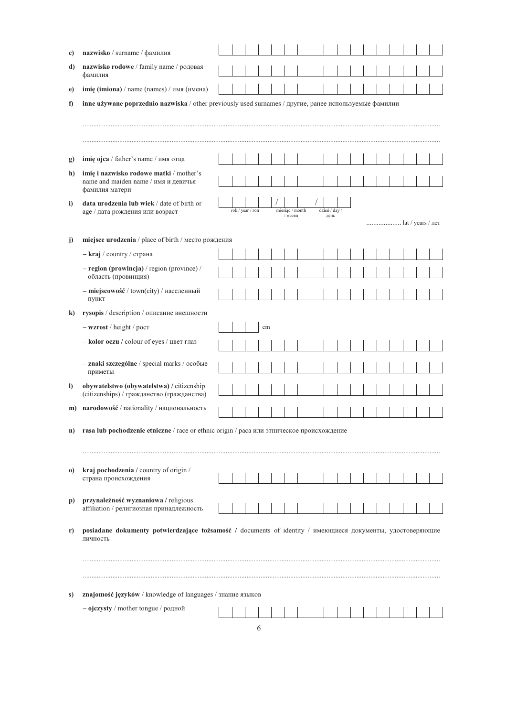| c)           | nazwisko / surname / фамилия                                                                                           |  |                  |    |                 |  |             |  |  |  |                   |  |
|--------------|------------------------------------------------------------------------------------------------------------------------|--|------------------|----|-----------------|--|-------------|--|--|--|-------------------|--|
| d)           | nazwisko rodowe / family name / родовая<br>фамилия                                                                     |  |                  |    |                 |  |             |  |  |  |                   |  |
| e)           | imię (imiona) / name (names) / имя (имена)                                                                             |  |                  |    |                 |  |             |  |  |  |                   |  |
| f)           | inne używane poprzednio nazwiska / other previously used surnames / другие, ранее используемые фамилии                 |  |                  |    |                 |  |             |  |  |  |                   |  |
|              |                                                                                                                        |  |                  |    |                 |  |             |  |  |  |                   |  |
| $\mathbf{g}$ | imię ojca / father's name / имя отца                                                                                   |  |                  |    |                 |  |             |  |  |  |                   |  |
| h)           | imię i nazwisko rodowe matki / mother's<br>name and maiden name / имя и девичья<br>фамилия матери                      |  |                  |    |                 |  |             |  |  |  |                   |  |
| $\mathbf{i}$ | data urodzenia lub wiek / date of birth or<br>аде / дата рождения или возраст                                          |  | rok / year / год |    | miesiąc / month |  | dzień / day |  |  |  |                   |  |
|              |                                                                                                                        |  |                  |    | / месяц         |  | день        |  |  |  | lat / years / лет |  |
| j)           | miejsce urodzenia / place of birth / место рождения                                                                    |  |                  |    |                 |  |             |  |  |  |                   |  |
|              | – kraj / country / страна                                                                                              |  |                  |    |                 |  |             |  |  |  |                   |  |
|              | $-$ region (prowincja) / region (province) /<br>область (провинция)                                                    |  |                  |    |                 |  |             |  |  |  |                   |  |
|              | - miejscowość / town(city) / населенный<br>пункт                                                                       |  |                  |    |                 |  |             |  |  |  |                   |  |
| $\bf k$      | rysopis / description / описание внешности                                                                             |  |                  |    |                 |  |             |  |  |  |                   |  |
|              | $-$ wzrost / height / pocr                                                                                             |  |                  | cm |                 |  |             |  |  |  |                   |  |
|              | - kolor oczu / colour of eyes / цвет глаз                                                                              |  |                  |    |                 |  |             |  |  |  |                   |  |
|              | - znaki szczególne / special marks / особые<br>приметы                                                                 |  |                  |    |                 |  |             |  |  |  |                   |  |
| $\bf{D}$     | obywatelstwo (obywatelstwa) / citizenship<br>(citizenships) / гражданство (гражданства)                                |  |                  |    |                 |  |             |  |  |  |                   |  |
|              | m) narodowość / nationality / национальность                                                                           |  |                  |    |                 |  |             |  |  |  |                   |  |
| n)           | rasa lub pochodzenie etniczne / race or ethnic origin / раса или этническое происхождение                              |  |                  |    |                 |  |             |  |  |  |                   |  |
|              |                                                                                                                        |  |                  |    |                 |  |             |  |  |  |                   |  |
| $\bf{0}$     | kraj pochodzenia / country of origin /<br>страна происхождения                                                         |  |                  |    |                 |  |             |  |  |  |                   |  |
| p)           | przynależność wyznaniowa / religious<br>affiliation / религиозная принадлежность                                       |  |                  |    |                 |  |             |  |  |  |                   |  |
| r)           | posiadane dokumenty potwierdzające tożsamość / documents of identity / имеющиеся документы, удостоверяющие<br>личность |  |                  |    |                 |  |             |  |  |  |                   |  |
|              |                                                                                                                        |  |                  |    |                 |  |             |  |  |  |                   |  |
| s)           | znajomość języków / knowledge of languages / знание языков                                                             |  |                  |    |                 |  |             |  |  |  |                   |  |
|              | - ojczysty / mother tongue / родной                                                                                    |  |                  |    |                 |  |             |  |  |  |                   |  |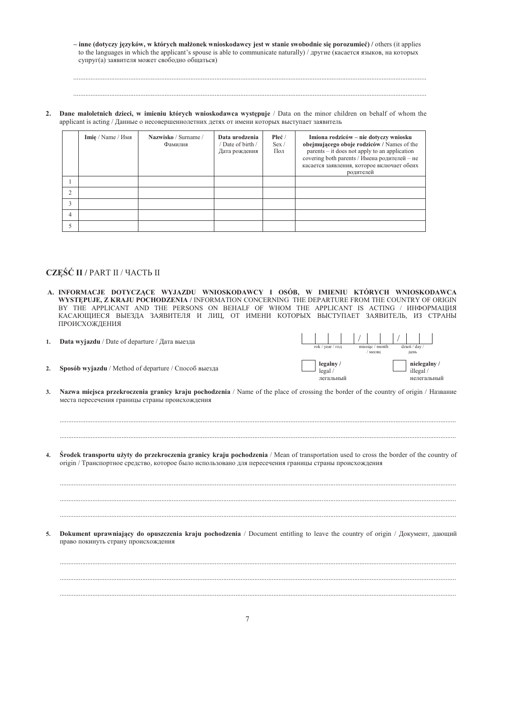- inne (dotyczy języków, w których małżonek wnioskodawcy jest w stanie swobodnie się porozumieć) / others (it applies to the languages in which the applicant's spouse is able to communicate naturally) / другие (касается языков, на которых супруг(а) заявителя может свободно общаться)

Dane małoletnich dzieci, w imieniu których wnioskodawca występuje / Data on the minor children on behalf of whom the  $2.$ applicant is acting / Данные о несовершеннолетних детях от имени которых выступает заявитель

|   | Imie / Name / Имя | Nazwisko / Surname /<br>Фамилия | Data urodzenia<br>Date of birth /<br>Дата рождения | Płeć/<br>Sex /<br>Пол | Imiona rodziców – nie dotyczy wniosku<br>obejmującego oboje rodziców / Names of the<br>$parents - it does not apply to an application$<br>covering both parents / Имена родителей - не<br>касается заявления, которое включает обеих<br>родителей |
|---|-------------------|---------------------------------|----------------------------------------------------|-----------------------|---------------------------------------------------------------------------------------------------------------------------------------------------------------------------------------------------------------------------------------------------|
|   |                   |                                 |                                                    |                       |                                                                                                                                                                                                                                                   |
|   |                   |                                 |                                                    |                       |                                                                                                                                                                                                                                                   |
|   |                   |                                 |                                                    |                       |                                                                                                                                                                                                                                                   |
| 4 |                   |                                 |                                                    |                       |                                                                                                                                                                                                                                                   |
|   |                   |                                 |                                                    |                       |                                                                                                                                                                                                                                                   |

## CZĘŚĆ II / PART II / ЧАСТЬ II

 $2.$ 

- A. INFORMACJE DOTYCZĄCE WYJAZDU WNIOSKODAWCY I OSÓB, W IMIENIU KTÓRYCH WNIOSKODAWCA WYSTĘPUJE, Z KRAJU POCHODZENIA / INFORMATION CONCERNING THE DEPARTURE FROM THE COUNTRY OF ORIGIN BY THE APPLICANT AND THE PERSONS ON BEHALF OF WHOM THE APPLICANT IS ACTING / ИНФОРМАЦИЯ КАСАЮЩИЕСЯ ВЫЕЗДА ЗАЯВИТЕЛЯ И ЛИЦ, ОТ ИМЕНИ КОТОРЫХ ВЫСТУПАЕТ ЗАЯВИТЕЛЬ, ИЗ СТРАНЫ ПРОИСХОЖДЕНИЯ
- Data wyjazdu / Date of departure / Дата выезда  $\mathbf{1}$ .

Sposób wyjazdu / Method of departure / Способ выезда

|  | rok / year / год                               |  | miesiac / month<br>месяц |  | dzień / day /<br>день |                                          |  |
|--|------------------------------------------------|--|--------------------------|--|-----------------------|------------------------------------------|--|
|  | legalny /<br>$\frac{log{all}}{1}$<br>легальный |  |                          |  |                       | nielegalny /<br>illegal /<br>нелегальный |  |

- Nazwa miejsca przekroczenia granicy kraju pochodzenia / Name of the place of crossing the border of the country of origin / Hasbanue  $\mathbf{3}$ места пересечения границы страны происхождения
- Środek transportu użyty do przekroczenia granicy kraju pochodzenia / Mean of transportation used to cross the border of the country of  $\blacktriangle$ origin / Транспортное средство, которое было использовано для пересечения границы страны происхождения

Dokument uprawniający do opuszczenia kraju pochodzenia / Document entitling to leave the country of origin / Документ, дающий  $\overline{\mathbf{5}}$ право покинуть страну происхождения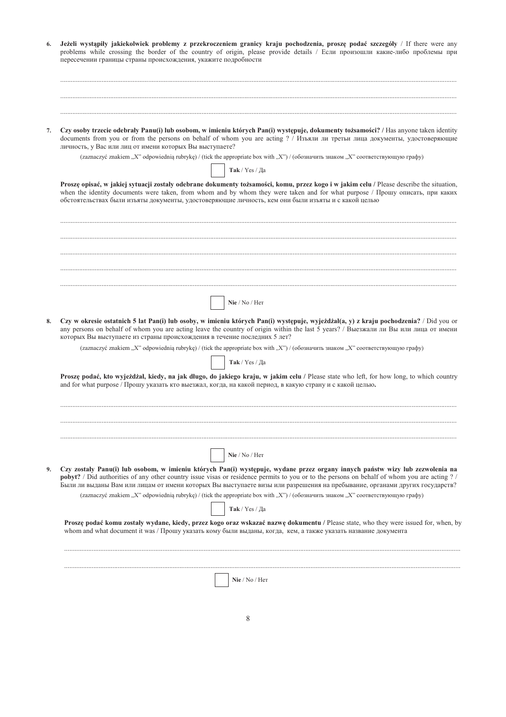| 7.<br>8. | Czy osoby trzecie odebrały Panu(i) lub osobom, w imieniu których Pan(i) występuje, dokumenty tożsamości? / Has anyone taken identity<br>documents from you or from the persons on behalf of whom you are acting ? / Изъяли ли третьи лица документы, удостоверяющие<br>личность, у Вас или лиц от имени которых Вы выступаете?<br>(zaznaczyć znakiem "X" odpowiednią rubrykę) / (tick the appropriate box with "X") / (обозначить знаком "X" соответствующую графу)<br>Так / Yes / Да<br>Proszę opisać, w jakiej sytuacji zostały odebrane dokumenty tożsamości, komu, przez kogo i w jakim celu / Please describe the situation,<br>when the identity documents were taken, from whom and by whom they were taken and for what purpose / Прошу описать, при каких<br>обстоятельствах были изъяты документы, удостоверяющие личность, кем они были изъяты и с какой целью |
|----------|---------------------------------------------------------------------------------------------------------------------------------------------------------------------------------------------------------------------------------------------------------------------------------------------------------------------------------------------------------------------------------------------------------------------------------------------------------------------------------------------------------------------------------------------------------------------------------------------------------------------------------------------------------------------------------------------------------------------------------------------------------------------------------------------------------------------------------------------------------------------------|
|          |                                                                                                                                                                                                                                                                                                                                                                                                                                                                                                                                                                                                                                                                                                                                                                                                                                                                           |
|          |                                                                                                                                                                                                                                                                                                                                                                                                                                                                                                                                                                                                                                                                                                                                                                                                                                                                           |
|          |                                                                                                                                                                                                                                                                                                                                                                                                                                                                                                                                                                                                                                                                                                                                                                                                                                                                           |
|          |                                                                                                                                                                                                                                                                                                                                                                                                                                                                                                                                                                                                                                                                                                                                                                                                                                                                           |
|          |                                                                                                                                                                                                                                                                                                                                                                                                                                                                                                                                                                                                                                                                                                                                                                                                                                                                           |
|          |                                                                                                                                                                                                                                                                                                                                                                                                                                                                                                                                                                                                                                                                                                                                                                                                                                                                           |
|          | Nie / No / Her                                                                                                                                                                                                                                                                                                                                                                                                                                                                                                                                                                                                                                                                                                                                                                                                                                                            |
|          | Czy w okresie ostatnich 5 lat Pan(i) lub osoby, w imieniu których Pan(i) występuje, wyjeżdżał(a, y) z kraju pochodzenia? / Did you or<br>any persons on behalf of whom you are acting leave the country of origin within the last 5 years? / Выезжали ли Вы или лица от имени<br>которых Вы выступаете из страны происхождения в течение последних 5 лет?<br>(zaznaczyć znakiem "X" odpowiednią rubrykę) / (tick the appropriate box with "X") / (обозначить знаком "X" соответствующую графу)                                                                                                                                                                                                                                                                                                                                                                            |
|          | $\textbf{Take}$ / $\text{Yes}$ / Да                                                                                                                                                                                                                                                                                                                                                                                                                                                                                                                                                                                                                                                                                                                                                                                                                                       |
|          | Proszę podać, kto wyjeżdżał, kiedy, na jak długo, do jakiego kraju, w jakim celu / Please state who left, for how long, to which country<br>and for what purpose / Прошу указать кто выезжал, когда, на какой период, в какую страну и с какой целью.                                                                                                                                                                                                                                                                                                                                                                                                                                                                                                                                                                                                                     |
|          |                                                                                                                                                                                                                                                                                                                                                                                                                                                                                                                                                                                                                                                                                                                                                                                                                                                                           |
|          | Nie / No / Her                                                                                                                                                                                                                                                                                                                                                                                                                                                                                                                                                                                                                                                                                                                                                                                                                                                            |
| 9.       | Czy zostały Panu(i) lub osobom, w imieniu których Pan(i) występuje, wydane przez organy innych państw wizy lub zezwolenia na<br>pobyt? / Did authorities of any other country issue visas or residence permits to you or to the persons on behalf of whom you are acting ? /<br>Были ли выданы Вам или лицам от имени которых Вы выступаете визы или разрешения на пребывание, органами других государств?                                                                                                                                                                                                                                                                                                                                                                                                                                                                |
|          | (zaznaczyć znakiem "X" odpowiednią rubrykę) / (tick the appropriate box with "X") / (обозначить знаком "X" соответствующую графу)                                                                                                                                                                                                                                                                                                                                                                                                                                                                                                                                                                                                                                                                                                                                         |
|          | Так / Yes / Да<br>Proszę podać komu zostały wydane, kiedy, przez kogo oraz wskazać nazwę dokumentu / Please state, who they were issued for, when, by                                                                                                                                                                                                                                                                                                                                                                                                                                                                                                                                                                                                                                                                                                                     |
|          |                                                                                                                                                                                                                                                                                                                                                                                                                                                                                                                                                                                                                                                                                                                                                                                                                                                                           |
|          | whom and what document it was / Прошу указать кому были выданы, когда, кем, а также указать название документа                                                                                                                                                                                                                                                                                                                                                                                                                                                                                                                                                                                                                                                                                                                                                            |
|          |                                                                                                                                                                                                                                                                                                                                                                                                                                                                                                                                                                                                                                                                                                                                                                                                                                                                           |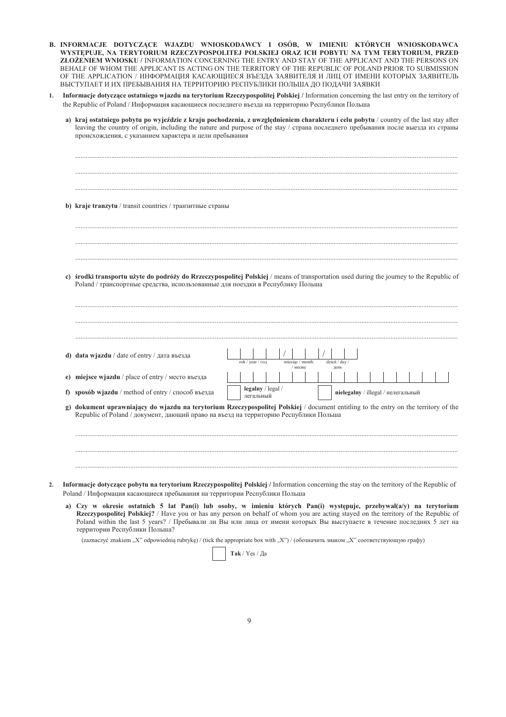- B. INFORMACJE DOTYCZĄCE WJAZDU WNIOSKODAWCY I OSÓB, W IMIENIU KTÓRYCH WNIOSKODAWCA WYSTEPUJE, NA TERYTORIUM RZECZYPOSPOLITEJ POLSKIEJ ORAZ ICH POBYTU NA TYM TERYTORIUM, PRZED ZŁOŻENIEM WNIOSKU / INFORMATION CONCERNING THE ENTRY AND STAY OF THE APPLICANT AND THE PERSONS ON BEHALF OF WHOM THE APPLICANT IS ACTING ON THE TERRITORY OF THE REPUBLIC OF POLAND PRIOR TO SUBMISSION ОҒ ТНЕ АРРLICATION / ИНФОРМАЦИЯ КАСАЮЩИЕСЯ ВЪЕЗДА ЗАЯВИТЕЛЯ И ЛИЦ ОТ ИМЕНИ КОТОРЫХ ЗАЯВИТЕЛЬ ВЫСТУПАЕТ И ИХ ПРЕБЫВАНИЯ НА ТЕРРИТОРИЮ РЕСПУБЛИКИ ПОЛЬША ДО ПОДАЧИ ЗАЯВКИ
- 1. Informacje dotyczące ostatniego wjazdu na terytorium Rzeczypospolitej Polskiej / Information concerning the last entry on the territory of the Republic of Poland / Информация касающиеся последнего въезда на территорию Республики Польша

| g) | sposób wjazdu / method of entry / способ въезда<br>dokument uprawniający do wjazdu na terytorium Rzeczypospolitej Polskiej / document entitling to the entry on the territory of the<br>Republic of Poland / документ, дающий право на въезд на территорию Республики Польша |  |                                                |  |                 |         |  |             |  |  |  |                                    |  |  |
|----|------------------------------------------------------------------------------------------------------------------------------------------------------------------------------------------------------------------------------------------------------------------------------|--|------------------------------------------------|--|-----------------|---------|--|-------------|--|--|--|------------------------------------|--|--|
|    |                                                                                                                                                                                                                                                                              |  |                                                |  |                 |         |  |             |  |  |  |                                    |  |  |
|    |                                                                                                                                                                                                                                                                              |  | $\text{legalny} / \text{legal} /$<br>легальный |  |                 |         |  |             |  |  |  | nielegalny / illegal / нелегальный |  |  |
|    | miejsce wjazdu / place of entry / место въезда                                                                                                                                                                                                                               |  |                                                |  |                 | / месяц |  | день        |  |  |  |                                    |  |  |
|    | d) data wjazdu / date of entry / дата въезда                                                                                                                                                                                                                                 |  | rok / year / год                               |  | miesiąc / month |         |  | dzień / day |  |  |  |                                    |  |  |
|    |                                                                                                                                                                                                                                                                              |  |                                                |  |                 |         |  |             |  |  |  |                                    |  |  |
|    | Poland / транспортные средства, использованные для поездки в Республику Польша                                                                                                                                                                                               |  |                                                |  |                 |         |  |             |  |  |  |                                    |  |  |
|    | c) środki transportu użyte do podróży do Rrzeczypospolitej Polskiej / means of transportation used during the journey to the Republic of                                                                                                                                     |  |                                                |  |                 |         |  |             |  |  |  |                                    |  |  |
|    |                                                                                                                                                                                                                                                                              |  |                                                |  |                 |         |  |             |  |  |  |                                    |  |  |
|    |                                                                                                                                                                                                                                                                              |  |                                                |  |                 |         |  |             |  |  |  |                                    |  |  |
|    | b) kraje tranzytu / transit countries / транзитные страны                                                                                                                                                                                                                    |  |                                                |  |                 |         |  |             |  |  |  |                                    |  |  |
|    |                                                                                                                                                                                                                                                                              |  |                                                |  |                 |         |  |             |  |  |  |                                    |  |  |

a) Czy w okresie ostatnich 5 lat Pan(i) lub osoby, w imieniu których Pan(i) występuje, przebywał(a/y) na terytorium Rzeczypospolitej Polskiej? / Have you or has any person on behalf of whom you are acting stayed on the territory of the Republic of Poland within the last 5 years? / Пребывали ли Вы или лица от имени которых Вы выступаете в течение последних 5 лет на территории Республики Польша?

(zaznaczyć znakiem "X" odpowiednią rubrykę) / (tick the appropriate box with "X") / (обозначить знаком "X" соответствующую графу)

 $\mathbf{Tak}$  / Yes / Да

 $\overline{2}$ .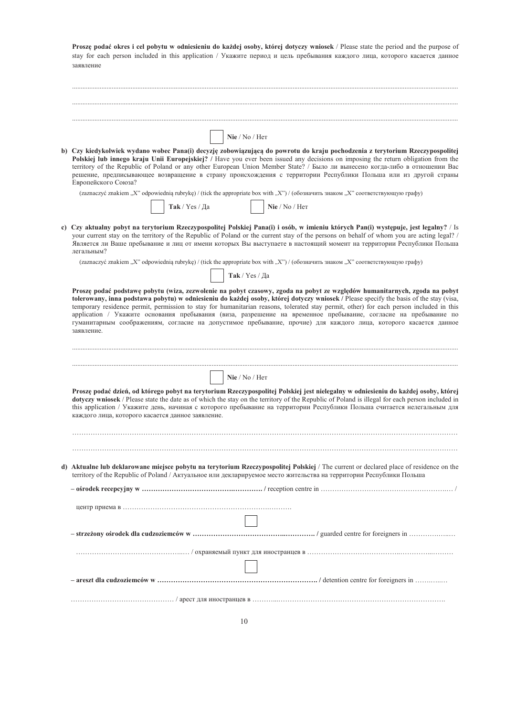| Proszę podać okres i cel pobytu w odniesieniu do każdej osoby, której dotyczy wniosek / Please state the period and the purpose of<br>stay for each person included in this application / Укажите период и цель пребывания каждого лица, которого касается данное<br>заявление                                                                                                                                                                                                                                                            |
|-------------------------------------------------------------------------------------------------------------------------------------------------------------------------------------------------------------------------------------------------------------------------------------------------------------------------------------------------------------------------------------------------------------------------------------------------------------------------------------------------------------------------------------------|
|                                                                                                                                                                                                                                                                                                                                                                                                                                                                                                                                           |
|                                                                                                                                                                                                                                                                                                                                                                                                                                                                                                                                           |
| $\mathrm{Nie}$ / $\mathrm{No}$ / $\mathrm{Her}$                                                                                                                                                                                                                                                                                                                                                                                                                                                                                           |
| b) Czy kiedykolwiek wydano wobec Pana(i) decyzję zobowiązującą do powrotu do kraju pochodzenia z terytorium Rzeczypospolitej<br>Polskiej lub innego kraju Unii Europejskiej? / Have you ever been issued any decisions on imposing the return obligation from the<br>territory of the Republic of Poland or any other European Union Member State? / Было ли вынесено когда-либо в отношении Вас<br>решение, предписывающее возвращение в страну происхождения с территории Республики Польша или из другой страны<br>Европейского Союза? |
| (zaznaczyć znakiem "X" odpowiednią rubrykę) / (tick the appropriate box with "X") / (обозначить знаком "X" соответствующую графу)                                                                                                                                                                                                                                                                                                                                                                                                         |
| Так / Yes / Да<br>Nie / No / Her                                                                                                                                                                                                                                                                                                                                                                                                                                                                                                          |
| c) Czy aktualny pobyt na terytorium Rzeczypospolitej Polskiej Pana(i) i osób, w imieniu których Pan(i) występuje, jest legalny? / Is<br>your current stay on the territory of the Republic of Poland or the current stay of the persons on behalf of whom you are acting legal? /<br>Является ли Ваше пребывание и лиц от имени которых Вы выступаете в настоящий момент на территории Республики Польша<br>легальным?                                                                                                                    |
| (zaznaczyć znakiem "X" odpowiednią rubrykę) / (tick the appropriate box with "X") / (обозначить знаком "X" соответствующую графу)                                                                                                                                                                                                                                                                                                                                                                                                         |
| Так / Yes / Да                                                                                                                                                                                                                                                                                                                                                                                                                                                                                                                            |
| tolerowany, inna podstawa pobytu) w odniesieniu do każdej osoby, której dotyczy wniosek / Please specify the basis of the stay (visa,<br>temporary residence permit, permission to stay for humanitarian reasons, tolerated stay permit, other) for each person included in this<br>application / Укажите основания пребывания (виза, разрешение на временное пребывание, согласие на пребывание по<br>гуманитарным соображениям, согласие на допустимое пребывание, прочие) для каждого лица, которого касается данное<br>заявление.     |
|                                                                                                                                                                                                                                                                                                                                                                                                                                                                                                                                           |
| Nie / No / Her                                                                                                                                                                                                                                                                                                                                                                                                                                                                                                                            |
| Proszę podać dzień, od którego pobyt na terytorium Rzeczypospolitej Polskiej jest nielegalny w odniesieniu do każdej osoby, której<br>dotyczy wniosek / Please state the date as of which the stay on the territory of the Republic of Poland is illegal for each person included in<br>this application / Укажите день, начиная с которого пребывание на территории Республики Польша считается нелегальным для<br>каждого лица, которого касается данное заявление.                                                                     |
|                                                                                                                                                                                                                                                                                                                                                                                                                                                                                                                                           |
|                                                                                                                                                                                                                                                                                                                                                                                                                                                                                                                                           |
| d) Aktualne lub deklarowane miejsce pobytu na terytorium Rzeczypospolitej Polskiej / The current or declared place of residence on the<br>territory of the Republic of Poland / Актуальное или декларируемое место жительства на территории Республики Польша                                                                                                                                                                                                                                                                             |
|                                                                                                                                                                                                                                                                                                                                                                                                                                                                                                                                           |
|                                                                                                                                                                                                                                                                                                                                                                                                                                                                                                                                           |
|                                                                                                                                                                                                                                                                                                                                                                                                                                                                                                                                           |
|                                                                                                                                                                                                                                                                                                                                                                                                                                                                                                                                           |
|                                                                                                                                                                                                                                                                                                                                                                                                                                                                                                                                           |
|                                                                                                                                                                                                                                                                                                                                                                                                                                                                                                                                           |
|                                                                                                                                                                                                                                                                                                                                                                                                                                                                                                                                           |
|                                                                                                                                                                                                                                                                                                                                                                                                                                                                                                                                           |
|                                                                                                                                                                                                                                                                                                                                                                                                                                                                                                                                           |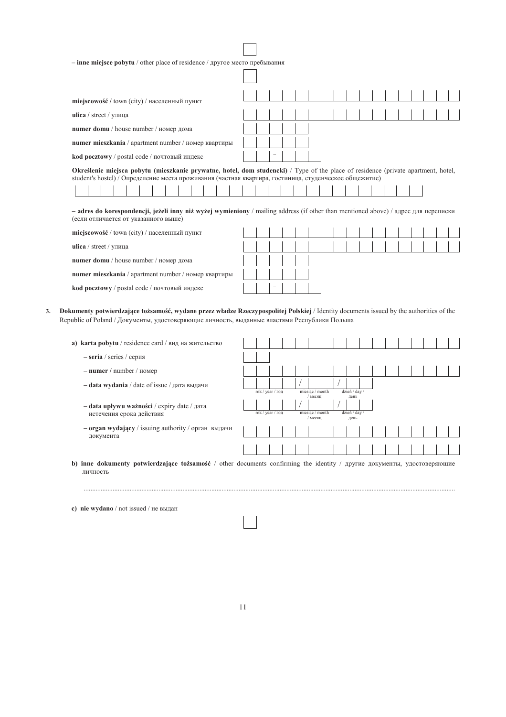| $-$ inne miejsce pobytu / other place of residence / другое место пребывания                                                                                                                                                                |  |  |  |  |  |  |  |  |  |  |  |  |  |
|---------------------------------------------------------------------------------------------------------------------------------------------------------------------------------------------------------------------------------------------|--|--|--|--|--|--|--|--|--|--|--|--|--|
|                                                                                                                                                                                                                                             |  |  |  |  |  |  |  |  |  |  |  |  |  |
| miejscowość / town (city) / населенный пункт                                                                                                                                                                                                |  |  |  |  |  |  |  |  |  |  |  |  |  |
| ulica / street / улица                                                                                                                                                                                                                      |  |  |  |  |  |  |  |  |  |  |  |  |  |
| numer domu / house number / номер дома                                                                                                                                                                                                      |  |  |  |  |  |  |  |  |  |  |  |  |  |
| numer mieszkania / apartment number / номер квартиры                                                                                                                                                                                        |  |  |  |  |  |  |  |  |  |  |  |  |  |
| kod pocztowy / postal code / почтовый индекс                                                                                                                                                                                                |  |  |  |  |  |  |  |  |  |  |  |  |  |
| Określenie miejsca pobytu (mieszkanie prywatne, hotel, dom studencki) / Type of the place of residence (private apartment, hotel,<br>student's hostel) / Определение места проживания (частная квартира, гостиница, студенческое общежитие) |  |  |  |  |  |  |  |  |  |  |  |  |  |
|                                                                                                                                                                                                                                             |  |  |  |  |  |  |  |  |  |  |  |  |  |
| $-$ adres do korespondencji, jeżeli inny niż wyżej wymieniony / mailing address (if other than mentioned above) / адрес для переписки<br>(если отличается от указанного выше)                                                               |  |  |  |  |  |  |  |  |  |  |  |  |  |
| miejscowość / town (city) / населенный пункт                                                                                                                                                                                                |  |  |  |  |  |  |  |  |  |  |  |  |  |
| ulica / street / улица                                                                                                                                                                                                                      |  |  |  |  |  |  |  |  |  |  |  |  |  |
| numer domu / house number / номер дома                                                                                                                                                                                                      |  |  |  |  |  |  |  |  |  |  |  |  |  |
| numer mieszkania / apartment number / номер квартиры                                                                                                                                                                                        |  |  |  |  |  |  |  |  |  |  |  |  |  |
| kod pocztowy / postal code / почтовый индекс                                                                                                                                                                                                |  |  |  |  |  |  |  |  |  |  |  |  |  |
| Dokumenty potwierdzające tożsamość, wydane przez władze Rzeczypospolitej Polskiej / Identity documents issued by the authorities of the<br>Republic of Poland / Документы, удостоверяющие личность, выданные властями Республики Польша     |  |  |  |  |  |  |  |  |  |  |  |  |  |
| a) karta pobytu / residence card / вид на жительство                                                                                                                                                                                        |  |  |  |  |  |  |  |  |  |  |  |  |  |
| $-$ <b>seria</b> / series / серия                                                                                                                                                                                                           |  |  |  |  |  |  |  |  |  |  |  |  |  |
| $-$ numer / number / номер                                                                                                                                                                                                                  |  |  |  |  |  |  |  |  |  |  |  |  |  |

ľ

- data wydania / date of issue / дата выдачи

 $3.$ 

- $-$ data upływu ważności / expiry date /  $\alpha$ ara истечения срока действия
- $-$ огда<br/>n wydający / issuing authority / орган $\,$ выдачи документа

| rok / year / год |  | miesiąc / month |  | dzień / day / |  |  |  |  |
|------------------|--|-----------------|--|---------------|--|--|--|--|
|                  |  | месяц           |  | день          |  |  |  |  |
|                  |  |                 |  |               |  |  |  |  |
| rok / year / год |  | miesiąc / month |  | dzień / day / |  |  |  |  |
|                  |  | / месяц         |  | день          |  |  |  |  |
|                  |  |                 |  |               |  |  |  |  |
|                  |  |                 |  |               |  |  |  |  |
|                  |  |                 |  |               |  |  |  |  |
|                  |  |                 |  |               |  |  |  |  |

b) inne dokumenty potwierdzające tożsamość / other documents confirming the identity / другие документы, удостоверяющие личность

c) nie wydano / not issued / не выдан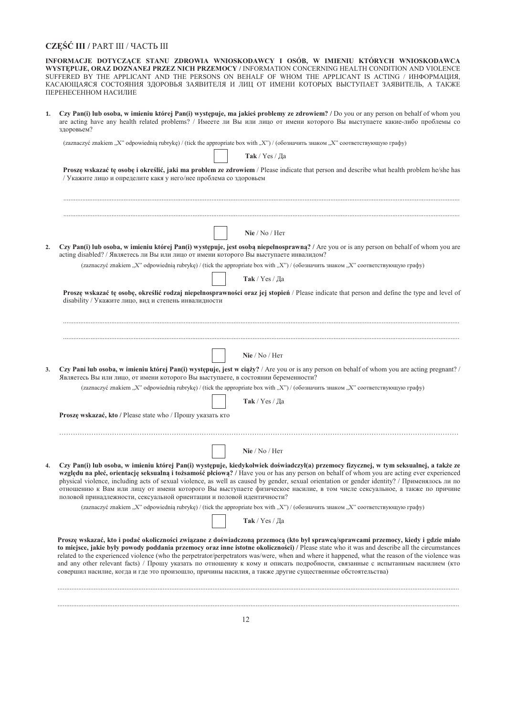# $\mathbf{CZE}\xspace\!\acute{\mathbf{S}}\xspace\!\acute{\mathbf{C}}$ III / PART III / ЧАСТЬ III

INFORMACJE DOTYCZĄCE STANU ZDROWIA WNIOSKODAWCY I OSÓB, W IMIENIU KTÓRYCH WNIOSKODAWCA WYSTĘPUJE, ORAZ DOZNANEJ PRZEZ NICH PRZEMOCY / INFORMATION CONCERNING HEALTH CONDITION AND VIOLENCE SUFFERED BY THE APPLICANT AND THE PERSONS ON BEHALF OF WHOM THE APPLICANT IS ACTING / ИНФОРМАЦИЯ, КАСАЮЩАЯСЯ СОСТОЯНИЯ ЗДОРОВЬЯ ЗАЯВИТЕЛЯ И ЛИЦ ОТ ИМЕНИ КОТОРЫХ ВЫСТУПАЕТ ЗАЯВИТЕЛЬ, А ТАКЖЕ ПЕРЕНЕСЕННОМ НАСИЛИЕ

 $1.$ Czy Pan(i) lub osoba, w imieniu której Pan(i) występuje, ma jakieś problemy ze zdrowiem? / Do you or any person on behalf of whom you are acting have any health related problems? / Имеете ли Вы или лицо от имени которого Вы выступаете какие-либо проблемы со здоровьем?

(zaznaczyć znakiem "X" odpowiednią rubrykę) / (tick the appropriate box with "X") / (обозначить знаком "X" соответствующую графу)

| Proszę wskazać tę osobę i określić, jaki ma problem ze zdrowiem / Please indicate that person and describe what health problem he/she has |  |  |  |  |
|-------------------------------------------------------------------------------------------------------------------------------------------|--|--|--|--|
| / Укажите лицо и определите какя у него/нее проблема со здоровьем                                                                         |  |  |  |  |

**Tak** / Yes / Да

| Nie / No / Her                                                                                                                                                                                                                                                                                                                                                                                                                                                                                                                                                                                                                                                                      |
|-------------------------------------------------------------------------------------------------------------------------------------------------------------------------------------------------------------------------------------------------------------------------------------------------------------------------------------------------------------------------------------------------------------------------------------------------------------------------------------------------------------------------------------------------------------------------------------------------------------------------------------------------------------------------------------|
| Czy Pan(i) lub osoba, w imieniu której Pan(i) występuje, jest osobą niepełnosprawną? / Are you or is any person on behalf of whom you are<br>acting disabled? / Являетесь ли Вы или лицо от имени которого Вы выступаете инвалидом?                                                                                                                                                                                                                                                                                                                                                                                                                                                 |
| (zaznaczyć znakiem "X" odpowiednią rubrykę) / (tick the appropriate box with "X") / (обозначить знаком "X" соответствующую графу)                                                                                                                                                                                                                                                                                                                                                                                                                                                                                                                                                   |
| Так / Yes / Да                                                                                                                                                                                                                                                                                                                                                                                                                                                                                                                                                                                                                                                                      |
| Proszę wskazać tę osobę, określić rodzaj niepełnosprawności oraz jej stopień / Please indicate that person and define the type and level of<br>disability / Укажите лицо, вид и степень инвалидности                                                                                                                                                                                                                                                                                                                                                                                                                                                                                |
|                                                                                                                                                                                                                                                                                                                                                                                                                                                                                                                                                                                                                                                                                     |
| Nie / No / Her                                                                                                                                                                                                                                                                                                                                                                                                                                                                                                                                                                                                                                                                      |
| Czy Pani lub osoba, w imieniu której Pan(i) występuje, jest w ciąży? / Are you or is any person on behalf of whom you are acting pregnant? /<br>Являетесь Вы или лицо, от имени которого Вы выступаете, в состоянии беременности?                                                                                                                                                                                                                                                                                                                                                                                                                                                   |
| (zaznaczyć znakiem "X" odpowiednią rubrykę) / (tick the appropriate box with "X") / (обозначить знаком "X" соответствующую графу)                                                                                                                                                                                                                                                                                                                                                                                                                                                                                                                                                   |
| Так / Yes / Да                                                                                                                                                                                                                                                                                                                                                                                                                                                                                                                                                                                                                                                                      |
| Proszę wskazać, kto / Please state who / Прошу указать кто                                                                                                                                                                                                                                                                                                                                                                                                                                                                                                                                                                                                                          |
| Nie / No / Her                                                                                                                                                                                                                                                                                                                                                                                                                                                                                                                                                                                                                                                                      |
|                                                                                                                                                                                                                                                                                                                                                                                                                                                                                                                                                                                                                                                                                     |
| Czy Pan(i) lub osoba, w imieniu której Pan(i) występuje, kiedykolwiek doświadczył(a) przemocy fizycznej, w tym seksualnej, a także ze<br>względu na płeć, orientację seksualną i tożsamość płciową? / Have you or has any person on behalf of whom you are acting ever experienced<br>physical violence, including acts of sexual violence, as well as caused by gender, sexual orientation or gender identity? / Применялось ли по<br>отношению к Вам или лицу от имени которого Вы выступаете физическое насилие, в том числе сексуальное, а также по причине<br>половой принадлежности, сексуальной ориентации и половой идентичности?                                           |
| (zaznaczyć znakiem "X" odpowiednią rubrykę) / (tick the appropriate box with "X") / (обозначить знаком "X" соответствующую графу)                                                                                                                                                                                                                                                                                                                                                                                                                                                                                                                                                   |
| $\textbf{Take}$ / $\text{Yes}$ / Да                                                                                                                                                                                                                                                                                                                                                                                                                                                                                                                                                                                                                                                 |
| Proszę wskazać, kto i podać okoliczności związane z doświadczoną przemocą (kto był sprawcą/sprawcami przemocy, kiedy i gdzie miało<br>to miejsce, jakie były powody poddania przemocy oraz inne istotne okoliczności) / Please state who it was and describe all the circumstances<br>related to the experienced violence (who the perpetrator/perpetrators was/were, when and where it happened, what the reason of the violence was<br>and any other relevant facts) / Прошу указать по отношениу к кому и описать подробности, связанные с испытанным насилием (кто<br>совершил насилие, когда и где это произошло, причины насилия, а также другие существенные обстоятельства) |
|                                                                                                                                                                                                                                                                                                                                                                                                                                                                                                                                                                                                                                                                                     |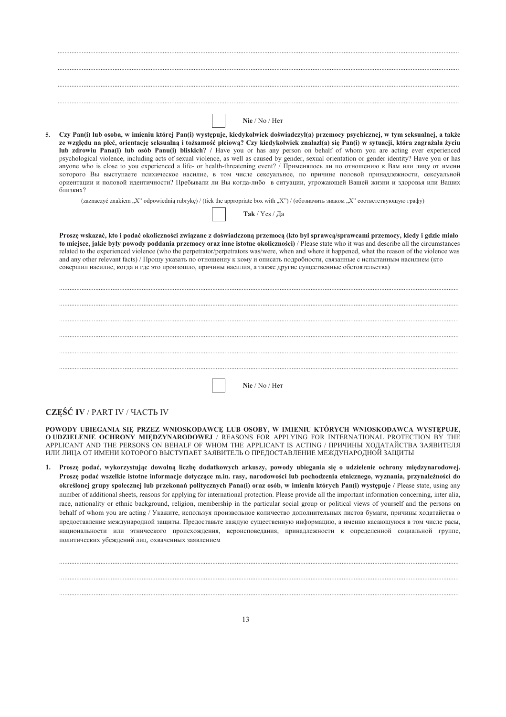|    | Nie / No / Her                                                                                                                                                                                                                                                                                                                                                                                                                                                                                                                                                                                                                                                                                                                                                                                                                                                                                                                                                     |
|----|--------------------------------------------------------------------------------------------------------------------------------------------------------------------------------------------------------------------------------------------------------------------------------------------------------------------------------------------------------------------------------------------------------------------------------------------------------------------------------------------------------------------------------------------------------------------------------------------------------------------------------------------------------------------------------------------------------------------------------------------------------------------------------------------------------------------------------------------------------------------------------------------------------------------------------------------------------------------|
| 5. | Czy Pan(i) lub osoba, w imieniu której Pan(i) występuje, kiedykolwiek doświadczył(a) przemocy psychicznej, w tym seksualnej, a także<br>ze względu na płeć, orientację seksualną i tożsamość płciową? Czy kiedykolwiek znalazł(a) się Pan(i) w sytuacji, która zagrażała życiu<br>lub zdrowiu Pana(i) lub osób Panu(i) bliskich? / Have you or has any person on behalf of whom you are acting ever experienced<br>psychological violence, including acts of sexual violence, as well as caused by gender, sexual orientation or gender identity? Have you or has<br>anyone who is close to you experienced a life- or health-threatening event? / Применялось ли по отношению к Вам или лицу от имени<br>которого Вы выступаете психическое насилие, в том числе сексуальное, по причине половой принадлежности, сексуальной<br>ориентации и половой идентичности? Пребывали ли Вы когда-либо в ситуации, угрожающей Вашей жизни и здоровья или Ваших<br>близких? |
|    | (zaznaczyć znakiem "X" odpowiednią rubrykę) / (tick the appropriate box with "X") / (обозначить знаком "X" соответствующую графу)                                                                                                                                                                                                                                                                                                                                                                                                                                                                                                                                                                                                                                                                                                                                                                                                                                  |
|    | Так / Yes / Да                                                                                                                                                                                                                                                                                                                                                                                                                                                                                                                                                                                                                                                                                                                                                                                                                                                                                                                                                     |
|    |                                                                                                                                                                                                                                                                                                                                                                                                                                                                                                                                                                                                                                                                                                                                                                                                                                                                                                                                                                    |
|    | Proszę wskazać, kto i podać okoliczności związane z doświadczoną przemocą (kto był sprawcą/sprawcami przemocy, kiedy i gdzie miało<br>to miejsce, jakie były powody poddania przemocy oraz inne istotne okoliczności) / Please state who it was and describe all the circumstances<br>related to the experienced violence (who the perpetrator/perpetrators was/were, when and where it happened, what the reason of the violence was<br>and any other relevant facts) / Прошу указать по отношениу к кому и описать подробности, связанные с испытанным насилием (кто<br>совершил насилие, когда и где это произошло, причины насилия, а также другие существенные обстоятельства)                                                                                                                                                                                                                                                                                |
|    |                                                                                                                                                                                                                                                                                                                                                                                                                                                                                                                                                                                                                                                                                                                                                                                                                                                                                                                                                                    |
|    |                                                                                                                                                                                                                                                                                                                                                                                                                                                                                                                                                                                                                                                                                                                                                                                                                                                                                                                                                                    |
|    |                                                                                                                                                                                                                                                                                                                                                                                                                                                                                                                                                                                                                                                                                                                                                                                                                                                                                                                                                                    |
|    |                                                                                                                                                                                                                                                                                                                                                                                                                                                                                                                                                                                                                                                                                                                                                                                                                                                                                                                                                                    |
|    |                                                                                                                                                                                                                                                                                                                                                                                                                                                                                                                                                                                                                                                                                                                                                                                                                                                                                                                                                                    |
|    |                                                                                                                                                                                                                                                                                                                                                                                                                                                                                                                                                                                                                                                                                                                                                                                                                                                                                                                                                                    |
|    |                                                                                                                                                                                                                                                                                                                                                                                                                                                                                                                                                                                                                                                                                                                                                                                                                                                                                                                                                                    |
|    |                                                                                                                                                                                                                                                                                                                                                                                                                                                                                                                                                                                                                                                                                                                                                                                                                                                                                                                                                                    |
|    | Nie / No / Her                                                                                                                                                                                                                                                                                                                                                                                                                                                                                                                                                                                                                                                                                                                                                                                                                                                                                                                                                     |

# $\mathbf{CZE}\xspace\!\mathbf{\acute{S}\!\!\!\!\!\!\!\!C}$ IV / PART IV / ЧАСТЬ IV

POWODY UBIEGANIA SIĘ PRZEZ WNIOSKODAWCĘ LUB OSOBY, W IMIENIU KTÓRYCH WNIOSKODAWCA WYSTĘPUJE, O UDZIELENIE OCHRONY MIEDZYNARODOWEJ / REASONS FOR APPLYING FOR INTERNATIONAL PROTECTION BY THE APPLICANT AND THE PERSONS ON BEHALF OF WHOM THE APPLICANT IS ACTING / ПРИЧИНЫ ХОЛАТАЙСТВА ЗАЯВИТЕЛЯ ИЛИ ЛИЦА ОТ ИМЕНИ КОТОРОГО ВЫСТУПАЕТ ЗАЯВИТЕЛЬ О ПРЕДОСТАВЛЕНИЕ МЕЖДУНАРОДНОЙ ЗАЩИТЫ

1. Proszę podać, wykorzystując dowolną liczbę dodatkowych arkuszy, powody ubiegania się o udzielenie ochrony międzynarodowej. Proszę podać wszelkie istotne informacje dotyczące m.in. rasy, narodowości lub pochodzenia etnicznego, wyznania, przynależności do określonej grupy społecznej lub przekonań politycznych Pana(i) oraz osób, w imieniu których Pan(i) występuje / Please state, using any number of additional sheets, reasons for applying for international protection. Please provide all the important information concerning, inter alia, race, nationality or ethnic background, religion, membership in the particular social group or political views of yourself and the persons on behalf of whom you are acting / Укажите, используя произвольное количество дополнительных листов бумаги, причины ходатайства о предоставление международной защиты. Предоставьте каждую существенную информацию, а именно касающуюся в том числе расы, национальности или этнического происхождения, вероисповедания, принадлежности к определенной социальной группе, политических убеждений лиц, охваченных заявлением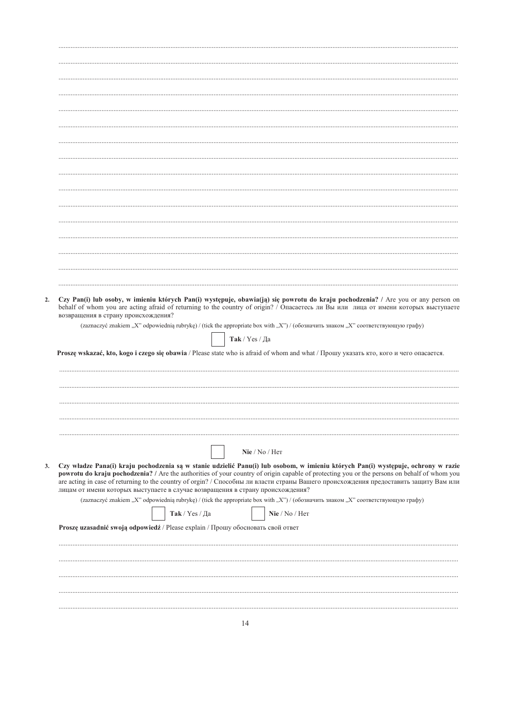| Proszę wskazać, kto, kogo i czego się obawia / Please state who is afraid of whom and what / Прошу указать кто, кого и чего опасается.                                                                                                                                                                                                                                                                                                                                                                       |
|--------------------------------------------------------------------------------------------------------------------------------------------------------------------------------------------------------------------------------------------------------------------------------------------------------------------------------------------------------------------------------------------------------------------------------------------------------------------------------------------------------------|
|                                                                                                                                                                                                                                                                                                                                                                                                                                                                                                              |
|                                                                                                                                                                                                                                                                                                                                                                                                                                                                                                              |
| Nie / No / Her                                                                                                                                                                                                                                                                                                                                                                                                                                                                                               |
| Czy władze Pana(i) kraju pochodzenia są w stanie udzielić Panu(i) lub osobom, w imieniu których Pan(i) występuje, ochrony w razie<br>powrotu do kraju pochodzenia? / Are the authorities of your country of origin capable of protecting you or the persons on behalf of whom you<br>are acting in case of returning to the country of orgin? / Способны ли власти страны Вашего происхождения предоставить защиту Вам или<br>лицам от имени которых выступаете в случае возвращения в страну происхождения? |
| (zaznaczyć znakiem "X" odpowiednią rubrykę) / (tick the appropriate box with "X") / (обозначить знаком "X" соответствующую графу)                                                                                                                                                                                                                                                                                                                                                                            |
| Так / Yes / Да<br>Nie / No / Her                                                                                                                                                                                                                                                                                                                                                                                                                                                                             |
| Proszę uzasadnić swoją odpowiedź / Please explain / Прошу обосновать свой ответ                                                                                                                                                                                                                                                                                                                                                                                                                              |
|                                                                                                                                                                                                                                                                                                                                                                                                                                                                                                              |
|                                                                                                                                                                                                                                                                                                                                                                                                                                                                                                              |
|                                                                                                                                                                                                                                                                                                                                                                                                                                                                                                              |
|                                                                                                                                                                                                                                                                                                                                                                                                                                                                                                              |
|                                                                                                                                                                                                                                                                                                                                                                                                                                                                                                              |
|                                                                                                                                                                                                                                                                                                                                                                                                                                                                                                              |
|                                                                                                                                                                                                                                                                                                                                                                                                                                                                                                              |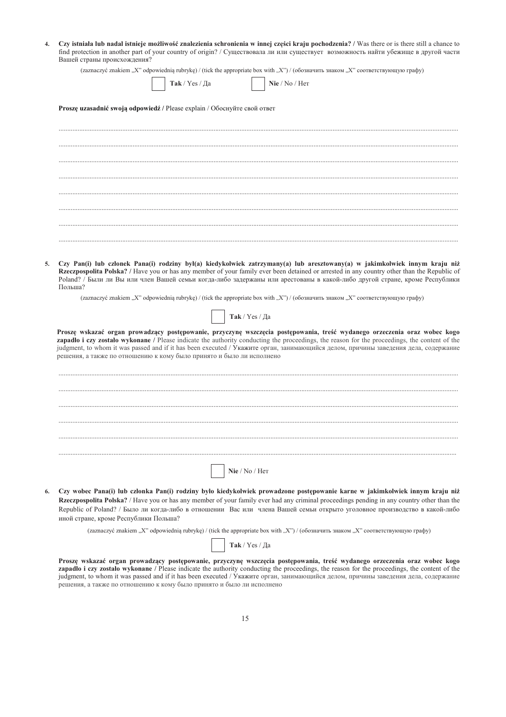| 4. Czy istniała lub nadal istnieje możliwość znalezienia schronienia w innej części kraju pochodzenia? / Was there or is there still a chance to |
|--------------------------------------------------------------------------------------------------------------------------------------------------|
| find protection in another part of your country of origin? / Существовала ли или существует возможность найти убежище в другой части             |
| Вашей страны происхождения?                                                                                                                      |

(zaznaczyć znakiem "X" odpowiednią rubrykę) / (tick the appropriate box with "X") / (обозначить знаком "X" соответствующую графу)

|  | Tak / Yes / Ia |
|--|----------------|
|--|----------------|

6.

Nie / No / Her

| <b>Proszę uzasadnić swoją odpowiedź</b> / Please explain / Обоснуйте свой ответ |  |  |
|---------------------------------------------------------------------------------|--|--|
|---------------------------------------------------------------------------------|--|--|

5. Czy Pan(i) lub członek Pana(i) rodziny był(a) kiedykolwiek zatrzymany(a) lub aresztowany(a) w jakimkolwiek innym kraju niż Rzeczpospolita Polska? / Have you or has any member of your family ever been detained or arrested in any country other than the Republic of Poland? / Были ли Вы или член Вашей семьи когда-либо задержаны или арестованы в какой-либо другой стране, кроме Республики  $\Pi$ <sub>O</sub> $\mu$ <sub>LIH2</sub>?

(zaznaczyć znakiem "X" odpowiednią rubrykę) / (tick the appropriate box with "X") / (обозначить знаком "X" соответствующую графу)



Proszę wskazać organ prowadzący postępowanie, przyczynę wszczęcia postępowania, treść wydanego orzeczenia oraz wobec kogo zapadlo i czy zostało wykonane / Please indicate the authority conducting the proceedings, the reason for the proceedings, the content of the judgment, to whom it was passed and if it has been executed / Укажите орган, занимающийся делом, причины заведения дела, содержание решения, а также по отношению к кому было принято и было ли исполнено

Czy wobec Pana(i) lub członka Pan(i) rodziny było kiedykolwiek prowadzone postępowanie karne w jakimkolwiek innym kraju niż Rzeczpospolita Polska? / Have you or has any member of your family ever had any criminal proceedings pending in any country other than the Republic of Poland? / Было ли когда-либо в отношении Вас или члена Вашей семьи открыто уголовное производство в какой-либо иной стране, кроме Республики Польша?

Nie / No / Her

(zaznaczyć znakiem "X" odpowiednią rubrykę) / (tick the appropriate box with "X") / (обозначить знаком "X" соответствующую графу)

 $\textbf{Take}$  /  $\text{Yes}$  / Да

Proszę wskazać organ prowadzący postępowanie, przyczynę wszczęcia postępowania, treść wydanego orzeczenia oraz wobec kogo zapadło i czy zostało wykonane / Please indicate the authority conducting the proceedings, the reason for the proceedings, the content of the judgment, to whom it was passed and if it has been executed / Укажите орган, занимающийся делом, причины заведения дела, содержание решения, а также по отношению к кому было принято и было ли исполнено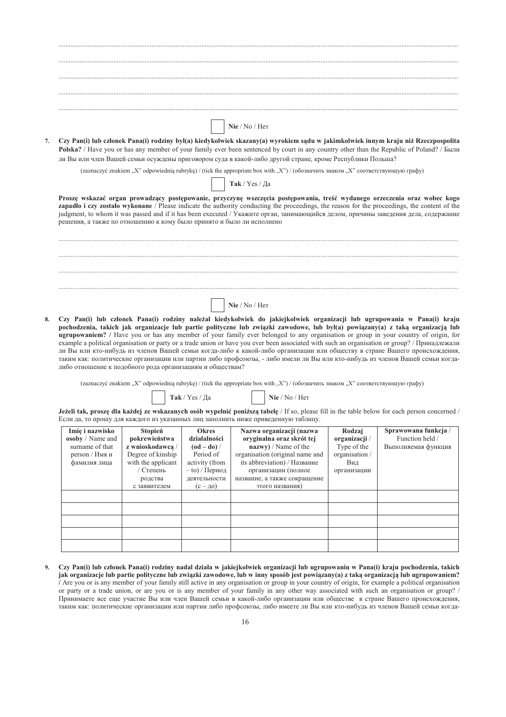|    | Nie / No / Her                                                                                                                                                                                                                                                                                                                                                                                                                                                                                                                                                                                                                                                                          |
|----|-----------------------------------------------------------------------------------------------------------------------------------------------------------------------------------------------------------------------------------------------------------------------------------------------------------------------------------------------------------------------------------------------------------------------------------------------------------------------------------------------------------------------------------------------------------------------------------------------------------------------------------------------------------------------------------------|
| 7. | Czy Pan(i) lub członek Pana(i) rodziny był(a) kiedykolwiek skazany(a) wyrokiem sądu w jakimkolwiek innym kraju niż Rzeczpospolita<br><b>Polska?</b> / Have you or has any member of your family ever been sentenced by court in any country other than the Republic of Poland? / Были<br>ли Вы или член Вашей семьи осуждены приговором суда в какой-либо другой стране, кроме Республики Польша?                                                                                                                                                                                                                                                                                       |
|    | (zaznaczyć znakiem "X" odpowiednią rubrykę) / (tick the appropriate box with "X") / (обозначить знаком "X" соответствующую графу)                                                                                                                                                                                                                                                                                                                                                                                                                                                                                                                                                       |
|    | Так / Yes / Да                                                                                                                                                                                                                                                                                                                                                                                                                                                                                                                                                                                                                                                                          |
|    | Proszę wskazać organ prowadzący postępowanie, przyczynę wszczęcia postępowania, treść wydanego orzeczenia oraz wobec kogo<br>zapadlo i czy zostało wykonane / Please indicate the authority conducting the proceedings, the reason for the proceedings, the content of the<br>judgment, to whom it was passed and if it has been executed / Укажите орган, занимающийся делом, причины заведения дела, содержание<br>решения, а также по отношению к кому было принято и было ли исполнено                                                                                                                                                                                              |
|    |                                                                                                                                                                                                                                                                                                                                                                                                                                                                                                                                                                                                                                                                                         |
|    |                                                                                                                                                                                                                                                                                                                                                                                                                                                                                                                                                                                                                                                                                         |
|    |                                                                                                                                                                                                                                                                                                                                                                                                                                                                                                                                                                                                                                                                                         |
|    |                                                                                                                                                                                                                                                                                                                                                                                                                                                                                                                                                                                                                                                                                         |
|    | Nie / No / Her                                                                                                                                                                                                                                                                                                                                                                                                                                                                                                                                                                                                                                                                          |
| 8. | Czy Pan(i) lub członek Pana(i) rodziny należał kiedykolwiek do jakiejkolwiek organizacji lub ugrupowania w Pana(i) kraju<br>pochodzenia, takich jak organizacje lub partie polityczne lub związki zawodowe, lub był(a) powiązany(a) z taką organizacją lub<br><b>ugrupowaniem?</b> / Have you or has any member of your family ever belonged to any organisation or group in your country of origin, for<br>example a political organisation or party or a trade union or have you ever been associated with such an organisation or group? / Принадлежали<br>ry Die unter 1980 unkum in upgega Daugu gauer warm meha u wugu ruka annaunganun untukkugarnya arnaya Daugua meguawanyanya |

ли Вы или кто-нибудь из членов Вашей семьи когда-либо к какой-либо организации или обществу в стране Вашего происхождения, таким как: политические организации или партии либо профсоюзы, - либо имели ли Вы или кто-нибудь из членов Вашей семьи когдалибо отношение к подобного рода организациям и обществам?

(zaznaczyć znakiem "X" odpowiednią rubrykę) / (tick the appropriate box with "X") / (обозначить знаком "X" соответствующую графу)

**Tak** / Yes / *Ja* **i i i Nie** / No / Her

Jeżeli tak, proszę dla każdej ze wskazanych osób wypełnić poniższą tabelę / If so, please fill in the table below for each person concerned / Если да, то прошу для каждого из указанных лиц заполнить ниже приведенную таблицу.

| Imię i nazwisko<br><b>osoby</b> / Name and<br>surname of that<br>$person /$ Имя и<br>фамилия лица | Stopień<br>pokrewieństwa<br>z wnioskodawca /<br>Degree of kinship<br>with the applicant<br>/ Степень<br>родства<br>с заявителем | <b>Okres</b><br>działalności<br>$(od - do) /$<br>Period of<br>activity (from<br>$-$ to) / Период<br>деятельности<br>$(c - \mu o)$ | Nazwa organizacji (nazwa<br>orvginalna oraz skrót tej<br>nazwy) / Name of the<br>organisation (original name and<br>its abbreviation) / Название<br>организации (полное<br>название, а также сокращение<br>этого названия) | Rodzaj<br>organizacji /<br>Type of the<br>organisation /<br>Вид<br>организации | Sprawowana funkcja /<br>Function held /<br>Выполняемая функция |
|---------------------------------------------------------------------------------------------------|---------------------------------------------------------------------------------------------------------------------------------|-----------------------------------------------------------------------------------------------------------------------------------|----------------------------------------------------------------------------------------------------------------------------------------------------------------------------------------------------------------------------|--------------------------------------------------------------------------------|----------------------------------------------------------------|
|                                                                                                   |                                                                                                                                 |                                                                                                                                   |                                                                                                                                                                                                                            |                                                                                |                                                                |
|                                                                                                   |                                                                                                                                 |                                                                                                                                   |                                                                                                                                                                                                                            |                                                                                |                                                                |
|                                                                                                   |                                                                                                                                 |                                                                                                                                   |                                                                                                                                                                                                                            |                                                                                |                                                                |

9. Czy Pan(i) lub członek Pana(i) rodziny nadal działa w jakiejkolwiek organizacji lub ugrupowaniu w Pana(i) kraju pochodzenia, takich jak organizacje lub partie polityczne lub związki zawodowe, lub w inny sposób jest powiązany(a) z taką organizacją lub ugrupowaniem? *I* Are you or is any member of your family still active in any organisation or group in your country of origin, for example a political organisation or party or a trade union, or are you or is any member of your family in any other way associated with such an organisation or group? / Принимаете все еще участие Вы или член Вашей семьи в какой-либо организации или обществе в стране Вашего происхождения, таким как: политические организации или партии либо профсоюзы, либо имеете ли Вы или кто-нибудь из членов Вашей семьи когда-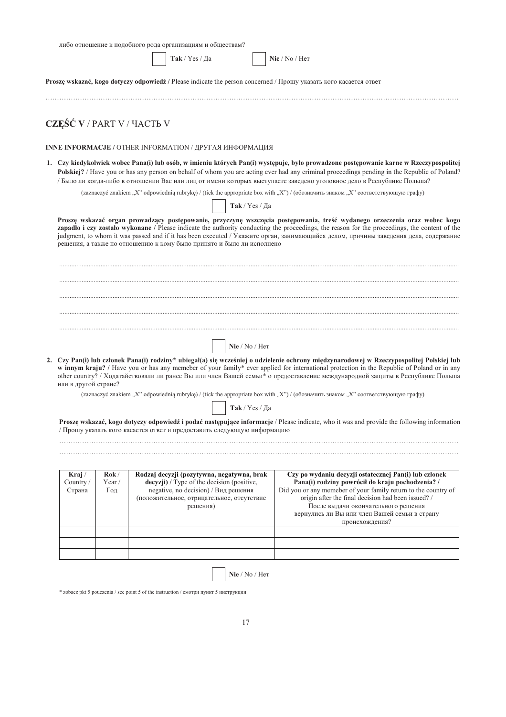|                            |              | либо отношение к подобного рода организациям и обществам?                                                                                   |                |                                                                                                                                                                                                                                                                                                                                                                                                                                                                                                                                                     |
|----------------------------|--------------|---------------------------------------------------------------------------------------------------------------------------------------------|----------------|-----------------------------------------------------------------------------------------------------------------------------------------------------------------------------------------------------------------------------------------------------------------------------------------------------------------------------------------------------------------------------------------------------------------------------------------------------------------------------------------------------------------------------------------------------|
|                            |              | Так / Yes / Да                                                                                                                              |                | Nie / No / Her                                                                                                                                                                                                                                                                                                                                                                                                                                                                                                                                      |
|                            |              |                                                                                                                                             |                | Proszę wskazać, kogo dotyczy odpowiedź / Please indicate the person concerned / Прошу указать кого касается ответ                                                                                                                                                                                                                                                                                                                                                                                                                                   |
| CZEŚĆ V / PART V / ЧАСТЬ V |              |                                                                                                                                             |                |                                                                                                                                                                                                                                                                                                                                                                                                                                                                                                                                                     |
|                            |              | INNE INFORMACJE / OTHER INFORMATION / ДРУГАЯ ИНФОРМАЦИЯ                                                                                     |                |                                                                                                                                                                                                                                                                                                                                                                                                                                                                                                                                                     |
|                            |              |                                                                                                                                             |                | 1. Czy kiedykolwiek wobec Pana(i) lub osób, w imieniu których Pan(i) występuje, było prowadzone postępowanie karne w Rzeczypospolitej<br>Polskiej? / Have you or has any person on behalf of whom you are acting ever had any criminal proceedings pending in the Republic of Poland?<br>/ Было ли когда-либо в отношении Вас или лиц от имени которых выступаете заведено уголовное дело в Республике Польша?<br>(zaznaczyć znakiem "X" odpowiednią rubrykę) / (tick the appropriate box with "X") / (обозначить знаком "X" соответствующую графу) |
|                            |              |                                                                                                                                             | Так / Yes / Да |                                                                                                                                                                                                                                                                                                                                                                                                                                                                                                                                                     |
|                            |              | решения, а также по отношению к кому было принято и было ли исполнено                                                                       |                | Proszę wskazać organ prowadzący postępowanie, przyczynę wszczęcia postępowania, treść wydanego orzeczenia oraz wobec kogo<br>zapadlo i czy zostało wykonane / Please indicate the authority conducting the proceedings, the reason for the proceedings, the content of the<br>judgment, to whom it was passed and if it has been executed / Укажите орган, занимающийся делом, причины заведения дела, содержание                                                                                                                                   |
|                            |              |                                                                                                                                             |                |                                                                                                                                                                                                                                                                                                                                                                                                                                                                                                                                                     |
|                            |              |                                                                                                                                             |                |                                                                                                                                                                                                                                                                                                                                                                                                                                                                                                                                                     |
|                            |              |                                                                                                                                             |                |                                                                                                                                                                                                                                                                                                                                                                                                                                                                                                                                                     |
|                            |              |                                                                                                                                             |                |                                                                                                                                                                                                                                                                                                                                                                                                                                                                                                                                                     |
|                            |              |                                                                                                                                             | Nie / No / Her |                                                                                                                                                                                                                                                                                                                                                                                                                                                                                                                                                     |
| или в другой стране?       |              |                                                                                                                                             |                | 2. Czy Pan(i) lub członek Pana(i) rodziny* ubiegał(a) się wcześniej o udzielenie ochrony międzynarodowej w Rzeczypospolitej Polskiej lub<br>w innym kraju? / Have you or has any memeber of your family* ever applied for international protection in the Republic of Poland or in any<br>other country? / Ходатайствовали ли ранее Вы или член Вашей семьи* о предоставление международной защиты в Республике Польша                                                                                                                              |
|                            |              |                                                                                                                                             |                | (zaznaczyć znakiem "X" odpowiednią rubrykę) / (tick the appropriate box with "X") / (обозначить знаком "X" соответствующую графу)                                                                                                                                                                                                                                                                                                                                                                                                                   |
|                            |              |                                                                                                                                             | Tak / Yes / Ja |                                                                                                                                                                                                                                                                                                                                                                                                                                                                                                                                                     |
|                            |              | / Прошу указать кого касается ответ и предоставить следующую информацию                                                                     |                | Proszę wskazać, kogo dotyczy odpowiedź i podać następujące informacje / Please indicate, who it was and provide the following information                                                                                                                                                                                                                                                                                                                                                                                                           |
|                            |              |                                                                                                                                             |                |                                                                                                                                                                                                                                                                                                                                                                                                                                                                                                                                                     |
|                            |              |                                                                                                                                             |                |                                                                                                                                                                                                                                                                                                                                                                                                                                                                                                                                                     |
|                            |              |                                                                                                                                             |                |                                                                                                                                                                                                                                                                                                                                                                                                                                                                                                                                                     |
| Kraj /                     | Rok/         | Rodzaj decyzji (pozytywna, negatywna, brak                                                                                                  |                | Czy po wydaniu decyzji ostatecznej Pan(i) lub członek                                                                                                                                                                                                                                                                                                                                                                                                                                                                                               |
| Country /<br>Страна        | Year/<br>Год | decyzji) / Type of the decision (positive,<br>negative, no decision) / Вид решения<br>(положительное, отрицательное, отсутствие<br>решения) |                | Pana(i) rodziny powrócił do kraju pochodzenia? /<br>origin after the final decision had been issued? /<br>После выдачи окончательного решения<br>вернулись ли Вы или член Вашей семьи в страну<br>происхождения?                                                                                                                                                                                                                                                                                                                                    |
|                            |              |                                                                                                                                             |                | Did you or any memeber of your family return to the country of                                                                                                                                                                                                                                                                                                                                                                                                                                                                                      |
|                            |              |                                                                                                                                             |                |                                                                                                                                                                                                                                                                                                                                                                                                                                                                                                                                                     |

 $*$  zobacz pkt 5 pouczenia / see point 5 of the instruction / смотри пункт 5 инструкции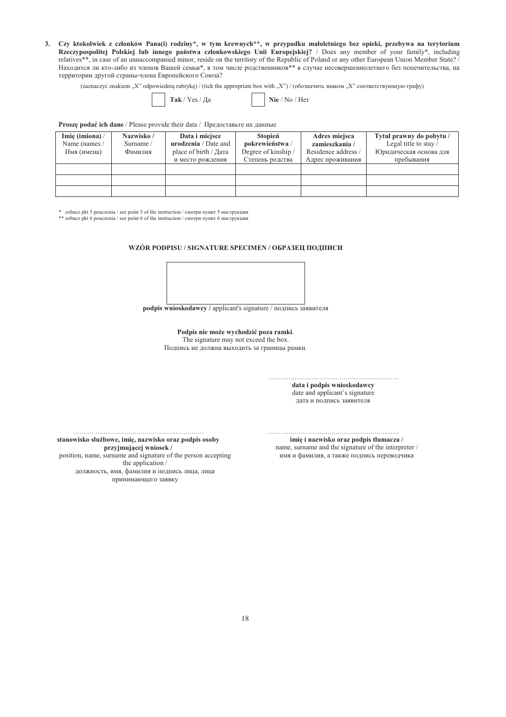3. Czy ktokolwiek z członków Pana(i) rodziny\*, w tym krewnych\*\*, w przypadku małoletniego bez opieki, przebywa na terytorium Rzeczypospolitej Polskiej lub innego państwa członkowskiego Unii Europejskiej? / Does any member of your family\*, including relatives\*\*, in case of an unnaccompanied minor, reside on the territory of the Republic of Poland or any other European Union Member State?/ Находится ли кто-либо из членов Вашей семьи\*, в том числе родственников\*\* в случае несовершеннолетнего без попечительства, на территории другой страны-члена Европейского Союза?

(zaznaczyć znakiem "X" odpowiednią rubrykę) / (tick the appropriate box with "X") / (обозначить знаком "X" соответствующую графу)

|  |  | Tak / Yes / Ia |
|--|--|----------------|
|--|--|----------------|

Nie / No / Her

### Proszę podać ich dane / Please provide their data / Предоставьте их данные

| Imię (imiona) /<br>Name (names /<br>Имя (имена) | Nazwisko /<br>Surname /<br>Фамилия | Data i miejsce<br>urodzenia / Date and<br>place of birth / Дата<br>и место рождения | Stopień<br>pokrewieństwa /<br>Degree of kinship /<br>Степень родства | Adres miejsca<br>zamieszkania /<br>Residence address /<br>Адрес проживания | Tytuł prawny do pobytu /<br>Legal title to stay /<br>Юридическая основа для<br>пребывания |
|-------------------------------------------------|------------------------------------|-------------------------------------------------------------------------------------|----------------------------------------------------------------------|----------------------------------------------------------------------------|-------------------------------------------------------------------------------------------|
|                                                 |                                    |                                                                                     |                                                                      |                                                                            |                                                                                           |
|                                                 |                                    |                                                                                     |                                                                      |                                                                            |                                                                                           |
|                                                 |                                    |                                                                                     |                                                                      |                                                                            |                                                                                           |

\* zobacz pkt 5 pouczenia / see point 5 of the instruction / смотри пункт 5 инструкции

\*\* zobacz pkt 5 pouczenia / see point 6 of the instruction / смотри пункт 6 инструкции

WZÓR PODPISU / SIGNATURE SPECIMEN / ОБРАЗЕЦ ПОДПИСИ



podpis wnioskodawcy / applicant's signature / подпись заявителя

Podpis nie może wychodzić poza ramki. The signature may not exceed the box. Подпись не должна выходить за границы рамки.

> data i podpis wnioskodawcy date and applicant's signature дата и подпись заявителя

stanowisko służbowe, imię, nazwisko oraz podpis osoby przyjmującej wniosek / position, name, surname and signature of the person accepting the application / должность, имя, фамилия и подпись лица, лица принимающего заявку

imię i nazwisko oraz podpis tłumacza / name, surname and the signature of the interpreter / имя и фамилия, а также подпись переводчика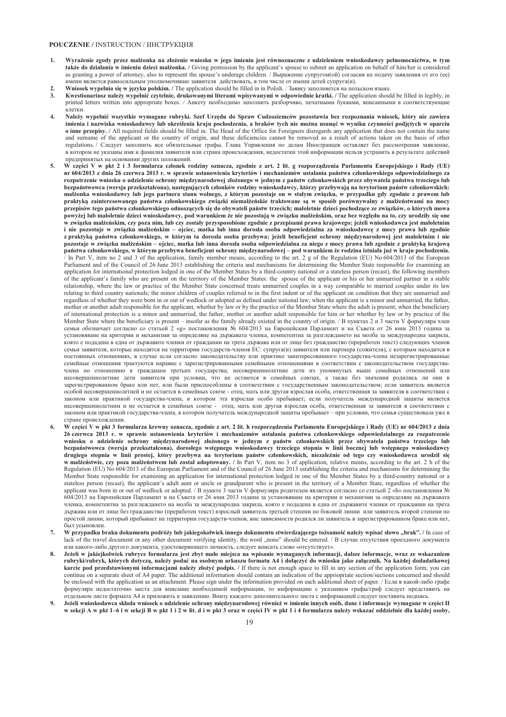#### **POUCZENIE / INSTRUCTION / ИНСТРУКЦИЯ**

- 1. Wyrażenie zgody przez małżonka na złożenie wniosku w jego imieniu jest równoznaczne z udzieleniem wnioskodawcy pełnomocnictwa, w tym także do działania w imieniu dzieci małżonka. / Giving permission by the applicant's spouse to submit an application on behalf of him/her is considered as granting a nower of attorney, also to represent the spouse's underage children. / Выражение супругом(ой) согласия на полачу заявления от его (ee) имени является равносильным уполномочиваю заявителя действовать, в том числе от имени детей супруга(и).
- **2.** Wniosek wypelnia się w języku polskim. / The application should be filled in in Polish. / Заявку заполняется на польском языке.<br>3. Kwestionariusz należy wypelnić czytelnie, drukowanymi literami wpisywanymi w odpowied
- Kwestionariusz należy wypełnić czytelnie, drukowanymi literami wpisywanymi w odpowiednie kratki. / The application should be filled in legibly, in printed letters written into appropriate boxes. / Анкету необходимо заполнить разборчиво, печатными буквами, вписанными в соответствующие клетки.
- 4. Należy wypełnić wszystkie wymagane rubryki. Szef Urzędu do Spraw Cudzoziemców pozostawia bez rozpoznania wniosek, który nie zawiera imienia i nazwiska wnioskodawcy lub określenia kraju pochodzenia, a braków tych nie można usunąć w wyniku czynności podjętych w oparciu **6 inne przepisy.** / All required fields should be filled in. The Head of the Office for Foreigners disregards any application that does not contain the name and surname of the applicant or the country of origin, and these deficiencies cannot be removed as a result of actions taken on the basis of other regulations. / Следует заполнить все обязательные графы. Глава Управления по делам Иностранцев оставляет без рассмотрения заявление, в котором не указаны имя и фамилия заявителя или страна происхождения, недостатки этой информации нельзя устранить в результате действий предпринятых на основании других положений.
- W części V w pkt 2 i 3 formularza członek rodziny oznacza, zgodnie z art. 2 lit. g rozporządzenia Parlamentu Europejskiego i Rady (UE) nr 604/2013 z dnia 26 czerwca 2013 r. w sprawie ustanowienia kryteriów i mechanizmów ustalania państwa członkowskiego odpowiedzialnego za rozpatrzenie wniosku o udzielenie ochrony międzynarodowej złożonego w jednym z państw członkowskich przez obywatela państwa trzeciego lub bezpaństwowca (wersja przekształcona), następujących członków rodziny wnioskodawcy, którzy przebywają na terytorium państw członkowskich: małżonka wnioskodawcy lub jego partnera stanu wolnego, z którym pozostaje on w stałym związku, w przypadku gdy zgodnie z prawem lub praktyką zainteresowanego państwa członkowskiego związki niemałżeńskie traktowane są w sposób porównywalny z małżeństwami na mocy przepisów tego państwa członkowskiego odnoszących się do obywateli państw trzecich; małoletnie dzieci pochodzące ze związków, o których mowa powyżej lub małoletnie dzieci wnioskodawcy, pod warunkiem że nie pozostają w związku małżeńskim, oraz bez względu na to, czy urodziły się one w zwiazku małżeńskim, czy poza nim, lub czy zostały przysposobione zgodnie z przepisami prawa krajowego; jeżeli wnioskodawca jest małoletnim i nie pozostaje w zwiazku małżeńskim – ojciec, matka lub inna dorosła osoba odpowiedzialna za wnioskodawce z mocy prawa lub zgodnie z praktyką państwa członkowskiego, w którym ta dorosła osoba przebywa; jeżeli beneficjent ochrony międzynarodowej jest małoletnim i nie pozostaje w związku małżeńskim – ojciec, matka lub inna dorosła osoba odpowiedzialna za niego z mocy prawa lub zgodnie z praktyką krajową państwa członkowskiego, w którym przebywa beneficjent ochrony międzynarodowej – pod warunkiem że rodzina istniała już w kraju pochodzenia. In Part V, item no 2 and 3 of the application, family member means, according to the art. 2 g of the Regulation (EU) No 604/2013 of the European Parliament and of the Council of 26 June 2013 establishing the criteria and mechanisms for determining the Member State responsible for examining an application for international protection lodged in one of the Member States by a third-country national or a stateless person (recast), the following members of the applicant's family who are present on the territory of the Member States: the spouse of the applicant or his or her unmarried partner in a stable relationship, where the law or practice of the Member State concerned treats unmarried couples in a way comparable to married couples under its law relating to third country nationals; the minor children of couples referred to in the first indent or of the applicant on condition that they are unmarried and regardless of whether they were born in or out of wedlock or adopted as defined under national law; when the applicant is a minor and unmarried, the father, mother or another adult responsible for the applicant, whether by law or by the practice of the Member State where the adult is present; when the beneficiary of international protection is a minor and unmarried, the father, mother or another adult responsible for him or her whether by law or by practice of the Member State where the beneficiary is present – insofar as the family already existed in the country of origin.  $/B$  пунктах 2 и 3 части V формуляра член  $T_{\text{C}}$ осомы отличение по советливно по статьей 2 «g» постановления № 604/2013 на Европейския Парламент и на Съвета от 26 юни 2013 година за VСТАНОВЯВАНЕ НА КРИТЕРИИ И МЕХАНИЗМИ ЗА ОПРЕЛЕЛЯНЕ НА ЛЪРЖАВАТА ЧЛЕНКА, КОМПЕТЕНТНА ЗА РАЗГЛЕЖЛАНЕТО НА МОЛОА ЗА МЕЖЛУНАРОЛНА ЗАКРИЛА. https://www.composity.com/composity/conduction/composity/conduction/composity/conduction/composity/conduction/composity/conduction/composity/conduction/composity/conduction/composity/conduction/conduction/conduction/conduc семьи заявителя, которые находятся на территории государств-членов ЕС: супруга(и) заявителя или партнера (сожителя), с которым находится в постоянных отношениях, в случае если согласно законодательству или практике заинтересованного государства-члена незарегистрированные семейные отношения трактуются наравне с зарегистрированными семейными отношениями в соответствии с законолательством государствачлена по отношению к гражданам третьих государства; несовершеннолетние дети из упомянутых выше семейных отношений или несовершеннолетние дети заявителя при условии, что не остаются в семейных союзах, а также без значения родились ли они в зарегистрированном браке или нет, или были приспособлены в соответствии с государственным законодательством; если заявитель является особой несовершеннолетней и не остается в семейных союзе - отец, мать или другая взрослая особа, ответственная за заявителя в соответствии с законом или практикой государства-члена, в котором эта взрослая особо пребывает; если получатель международной защиты является несовершеннолетним и не остается в семейных союзе - отец, мать или другая взрослая особа, ответственная за заявителя в соответствии с законом или практикой государства-члена, в котором получатель международной защиты пребывает - при условии, что семья существовала уже в стране происхождения
- 6. W części V w pkt 3 formularza krewny oznacza, zgodnie z art. 2 lit. h rozporządzenia Parlamentu Europejskiego i Rady (UE) nr 604/2013 z dnia 26 czerwca 2013 r. w sprawie ustanowienia kryteriów i mechanizmów ustalania państwa członkowskiego odpowiedzialnego za rozpatrzenie wniosku o udzielenie ochrony międzynarodowej złożonego w jednym z państw członkowskich przez obywatela państwa trzeciego lub bezpaństwowca (wersja przekształcona), dorosłego wstępnego wnioskodawcy trzeciego stopnia w linii bocznej lub wstępnego wnioskodawcy drugiego stopnia w linii prostej, który przebywa na terytorium państw członkowskich, niezależnie od tego czy wnioskodawca urodził się w małżeństwie, czy poza małżeństwem lub został adoptowany. / In Part V, item no 3 of application, relative means, according to the art. 2 h of the Regulation (EU) No 604/2013 of the European Parliament and of the Council of 26 June 2013 establishing the criteria and mechanisms for determining the Member State responsible for examining an application for international protection lodged in one of the Member States by a third-country national or a stateless person (recast) the applicant's adult aunt or uncle or grandparent who is present in the territory of a Member State, regardless of whether the  $\mathcal{L}^{\text{B}}$  applicant was born in or out of wedlock or adopted. (B ny HKTe 3 части V формуляра родителем является согласно со статьей 2 «h» постановления  $N_e$  $\overrightarrow{604/2013}$  на Европейския Парламент и на Съвета от 26 юни 2013 година за установяване на критерии и механизми за определяне на държавата членка, компетентна за разглеждането на молба за международна закрила, която е подадена в една от държавите членки от гражданин на трета държава или от лице без гражданство (преработен текст) взрослый заявитель третьей степени по боковой линии или заявитель второй степени по простой линии, который пребывает на территории государств-членов, вне зависимости родился ли заявитель в зарегистрированном браке или нет, был усыновлен.
- W przypadku braku dokumentu podróży lub jakiegokolwiek innego dokumentu stwierdzającego tożsamość należy wpisać słowo "brak". / In case of lack of the travel document or any other document verifying identity, the word "none" should be entered. / В случае отсутствия проездного документа или какого-либо другого документа, удостоверяющего личность, следует вписать слово «отсутствует».
- 8. Jeżeli w jakiejkolwiek rubryce formularza jest zbyt mało miejsca na wpisanie wymaganych informacji, dalsze informacje, wraz ze wskazaniem rubryki/rubryk, których dotyczą, należy podać na osobnym arkuszu formatu A4 i dołączyć do wniosku jako załącznik. Na każdej dodadatkowej karcie pod przedstawionymi informacjami należy złożyć podpis. / If there is not enough space to fill in any section of the application form, you can continue on a separate sheet of A4 paper. The additional information should contain an indication of the appriopriate section/sections concerned and should be enclosed with the application as an attachment. Please sign under the information provided on each additional sheet of paper. / Если в какой-либо графе формуляра недостаточно места для вписание необходимой информации, то информацию с указанием графы/граф следует представить на отдельном листе формата А4 и приложить к заявлению. Внизу каждого дополнительного листа с информацией следует поставить подпись.
- 9. Jeżeli wnioskodawca składa wniosek o udzielenie ochrony międzynarodowej również w imieniu innych osób, dane i informacje wymagane w części II w sekcji A w pkt 1–6 i w sekcji B w pkt 1 i 2 w lit. d i w pkt 3 oraz w części IV w pkt 1 i 4 formularza należy wskazać oddzielnie dla każdej osoby,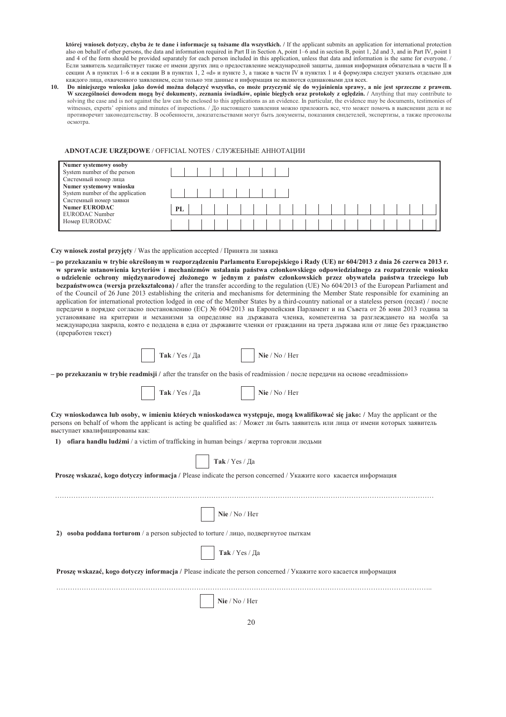której wniosek dotyczy, chyba że te dane i informacje są tożsame dla wszystkich. / If the applicant submits an application for international protection also on behalf of other persons, the data and information required in Part II in Section A, point 1-6 and in section B, point 1, 2d and 3, and in Part IV, point 1 and 4 of the form should be provided separately for each person included in this application, unless that data and information is the same for everyone. / Если заявитель ходатайствует также от имени других лиц о предоставление международной защиты, данная информация обязательна в части II в секции А в пунктах 1-6 и в секции В в пунктах 1, 2 «d» и пункте 3, а также в части IV в пунктах 1 и 4 формуляра следует указать отдельно для каждого лица, охваченного заявлением, если только эти данные и информация не являются одинаковыми для всех.

 $10<sub>1</sub>$ Do niniejszego wniosku jako dowód można dołączyć wszystko, co może przyczynić się do wyjaśnienia sprawy, a nie jest sprzeczne z prawem. W szczególności dowodem mogą być dokumenty, zeznania świadków, opinie biegłych oraz protokoły z oględzin. / Anything that may contribute to solving the case and is not against the law can be enclosed to this applications as an evidence. In particular, the evidence may be documents, testimonies of witnesses, experts' opinions and minutes of inspections. / До настоящего заявления можно приложить все, что может помочь в выяснении дела и не противоречит законодательству. В особенности, доказательствами могут быть документы, показания свидетелей, экспертизы, а также протоколы  $ocmorna$ 

### ADNOTACJE URZEDOWE / OFFICIAL NOTES / СЛУЖЕБНЫЕ АННОТАЦИИ

| Numer systemowy osoby            |    |  |  |  |  |  |  |  |  |  |  |
|----------------------------------|----|--|--|--|--|--|--|--|--|--|--|
| System number of the person      |    |  |  |  |  |  |  |  |  |  |  |
| Системный номер лица             |    |  |  |  |  |  |  |  |  |  |  |
| Numer systemowy wniosku          |    |  |  |  |  |  |  |  |  |  |  |
| System number of the application |    |  |  |  |  |  |  |  |  |  |  |
| Системный номер заявки           |    |  |  |  |  |  |  |  |  |  |  |
| <b>Numer EURODAC</b>             | PL |  |  |  |  |  |  |  |  |  |  |
| EURODAC Number                   |    |  |  |  |  |  |  |  |  |  |  |
| Homep EURODAC                    |    |  |  |  |  |  |  |  |  |  |  |
|                                  |    |  |  |  |  |  |  |  |  |  |  |

Czy wniosek został przyjęty / Was the application accepted / Принята ли заявка

– po przekazaniu w trybie określonym w rozporządzeniu Parlamentu Europejskiego i Rady (UE) nr 604/2013 z dnia 26 czerwca 2013 r. w sprawie ustanowienia kryteriów i mechanizmów ustalania państwa członkowskiego odpowiedzialnego za rozpatrzenie wniosku o udzielenie ochrony międzynarodowej złożonego w jednym z państw członkowskich przez obywatela państwa trzeciego lub bezpaństwowca (wersja przekształcona) / after the transfer according to the regulation (UE) No 604/2013 of the European Parliament and of the Council of 26 June 2013 establishing the criteria and mechanisms for determining the Member State responsible for examining an application for international protection lodged in one of the Member States by a third-country national or a stateless person (recast) / nocne передачи в порядке согласно постановлению (ЕС) № 604/2013 на Европейския Парламент и на Съвета от 26 юни 2013 година за установяване на критерии и механизми за определяне на държавата членка, компетентна за разглеждането на молба за международна закрила, която е подадена в една от държавите членки от гражданин на трета държава или от лице без гражданство (преработен текст)

|  | Так / Yes / Да |  | Nie / No / Her |
|--|----------------|--|----------------|
|--|----------------|--|----------------|

- po przekazaniu w trybie readmisji / after the transfer on the basis of readmission / после передачи на основе «readmission»



| $\mathbf{Nie}$ / No / Her |  |
|---------------------------|--|
|---------------------------|--|

Czy wnioskodawca lub osoby, w imieniu których wnioskodawca występuje, mogą kwalifikować się jako: / May the applicant or the persons on behalf of whom the applicant is acting be qualified as: / Может ли быть заявитель или лица от имени которых заявитель выступает квалифицированы как:

1) ofiara handlu ludźmi / a victim of trafficking in human beings / жертва торговли людьми

| Так / Yes / Да<br>Proszę wskazać, kogo dotyczy informacja / Please indicate the person concerned / Укажите кого касается информация |
|-------------------------------------------------------------------------------------------------------------------------------------|
| Nie / No / Her<br><b>osoba poddana torturom</b> / a person subjected to torture / лицо, подвергнутое пыткам<br>2)<br>Так / Yes / Да |
| Proszę wskazać, kogo dotyczy informacja / Please indicate the person concerned / Укажите кого касается информация                   |
| Nie / No / Her<br>$\sim$ $\sim$                                                                                                     |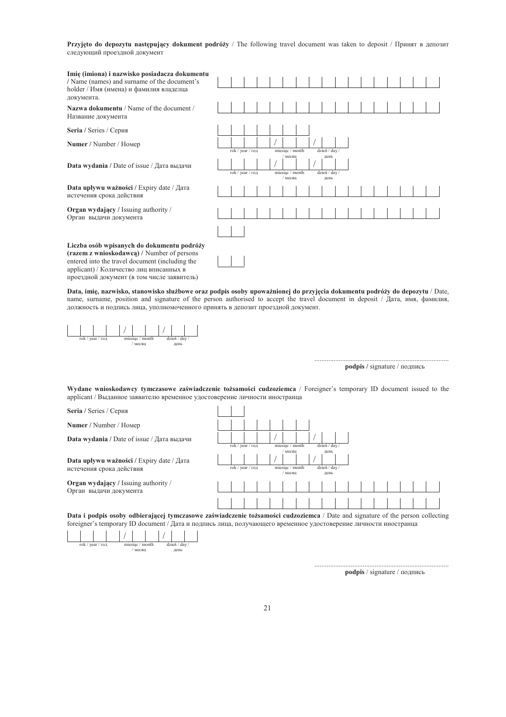**Przyjęto do depozytu następujący dokument podróży** / The following travel document was taken to deposit / Принят в депозит следующий проездной документ

| Imię (imiona) i nazwisko posiadacza dokumentu                                                                                                                                          |                  |  |  |                            |  |  |                       |  |  |  |  |  |  |
|----------------------------------------------------------------------------------------------------------------------------------------------------------------------------------------|------------------|--|--|----------------------------|--|--|-----------------------|--|--|--|--|--|--|
| / Name (names) and surname of the document's                                                                                                                                           |                  |  |  |                            |  |  |                       |  |  |  |  |  |  |
| holder / Имя (имена) и фамилия владелца<br>документа.                                                                                                                                  |                  |  |  |                            |  |  |                       |  |  |  |  |  |  |
| Nazwa dokumentu / Name of the document /<br>Название документа                                                                                                                         |                  |  |  |                            |  |  |                       |  |  |  |  |  |  |
| Seria / Series / Серия                                                                                                                                                                 |                  |  |  |                            |  |  |                       |  |  |  |  |  |  |
| Numer / Number / Номер                                                                                                                                                                 |                  |  |  |                            |  |  |                       |  |  |  |  |  |  |
|                                                                                                                                                                                        | rok / year / год |  |  | miesiac / month<br>месяц   |  |  | dzień / day /<br>день |  |  |  |  |  |  |
| Data wydania / Date of issue / Дата выдачи                                                                                                                                             |                  |  |  |                            |  |  |                       |  |  |  |  |  |  |
|                                                                                                                                                                                        | rok / year / год |  |  | miesiac / month<br>/ месяц |  |  | dzień / day /<br>день |  |  |  |  |  |  |
| <b>Data upływu ważności / Expiry date / Дата</b><br>истечения срока действия                                                                                                           |                  |  |  |                            |  |  |                       |  |  |  |  |  |  |
| <b>Organ wydający / Issuing authority /</b><br>Орган выдачи документа                                                                                                                  |                  |  |  |                            |  |  |                       |  |  |  |  |  |  |
|                                                                                                                                                                                        |                  |  |  |                            |  |  |                       |  |  |  |  |  |  |
| Liczba osób wpisanych do dokumentu podróży<br>(razem z wnioskodawca) / Number of persons<br>entered into the travel document (including the<br>applicant) / Количество лиц вписанных в |                  |  |  |                            |  |  |                       |  |  |  |  |  |  |

Data, imię, nazwisko, stanowisko służbowe oraz podpis osoby upoważnionej do przyjęcia dokumentu podróży do depozytu / Date, name, surname, position and signature of the person authorised to accept the travel document in deposit / *Jara*, *MMA*,  $\phi$ амилия, должность и подпись лица, уполномоченного принять в депозит проездной документ.



проездной документ (в том числе заявитель)

 $podpis / signature / noqnucb$ 

UUUUUUUUUUUUUUUUUUUUUUUUUUUUUUUUUUUUUUUUUUUUUUUUUUUUUUUUUUUUUUUUUUUUUUUUUUUUUU"

Wydane wnioskodawcy tymczasowe zaświadczenie tożsamości cudzoziemca / Foreigner's temporary ID document issued to the applicant / Выданное заявителю временное удостоверение личности иностранца



Data i podpis osoby odbierającej tymczasowe zaświadczenie tożsamości cudzoziemca / Date and signature of the person collecting foreigner's temporary ID document / Дата и подпись лица, получающего временное удостоверение личности иностранца



 $\textbf{podpis}$  / signature / подпись

UUUUUUUUUUUUUUUUUUUUUUUUUUUUUUUUUUUUUUUUUUUUUUUUUUUUUUUUUUUUUUUUUUUUUUUUUUUUUU